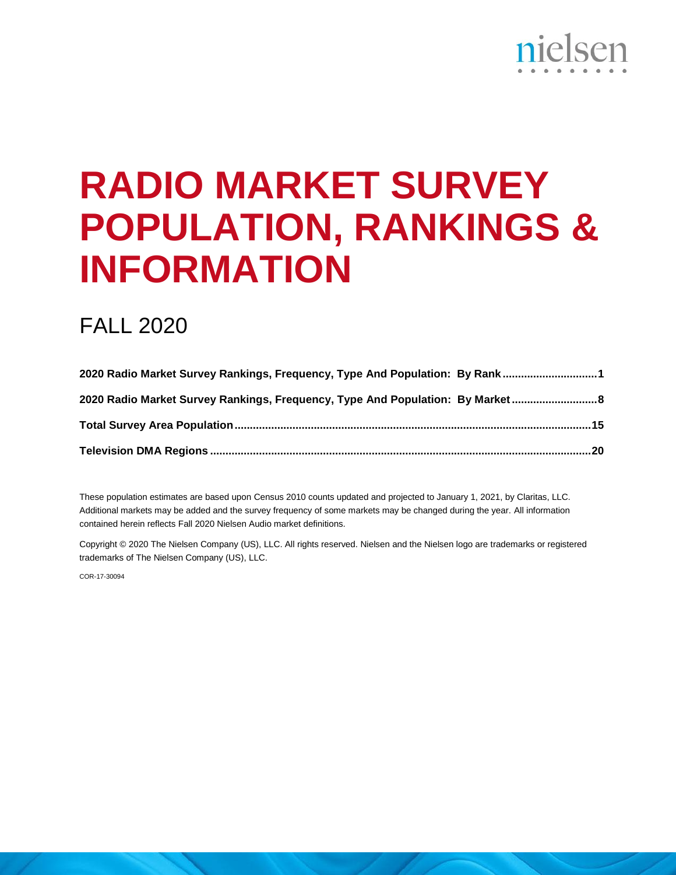# nielsen

## **RADIO MARKET SURVEY POPULATION, RANKINGS & INFORMATION**

## FALL 2020

| 2020 Radio Market Survey Rankings, Frequency, Type And Population: By Rank1    |  |
|--------------------------------------------------------------------------------|--|
| 2020 Radio Market Survey Rankings, Frequency, Type And Population: By Market 8 |  |
|                                                                                |  |
|                                                                                |  |

These population estimates are based upon Census 2010 counts updated and projected to January 1, 2021, by Claritas, LLC. Additional markets may be added and the survey frequency of some markets may be changed during the year. All information contained herein reflects Fall 2020 Nielsen Audio market definitions.

Copyright © 2020 The Nielsen Company (US), LLC. All rights reserved. Nielsen and the Nielsen logo are trademarks or registered trademarks of The Nielsen Company (US), LLC.

COR-17-30094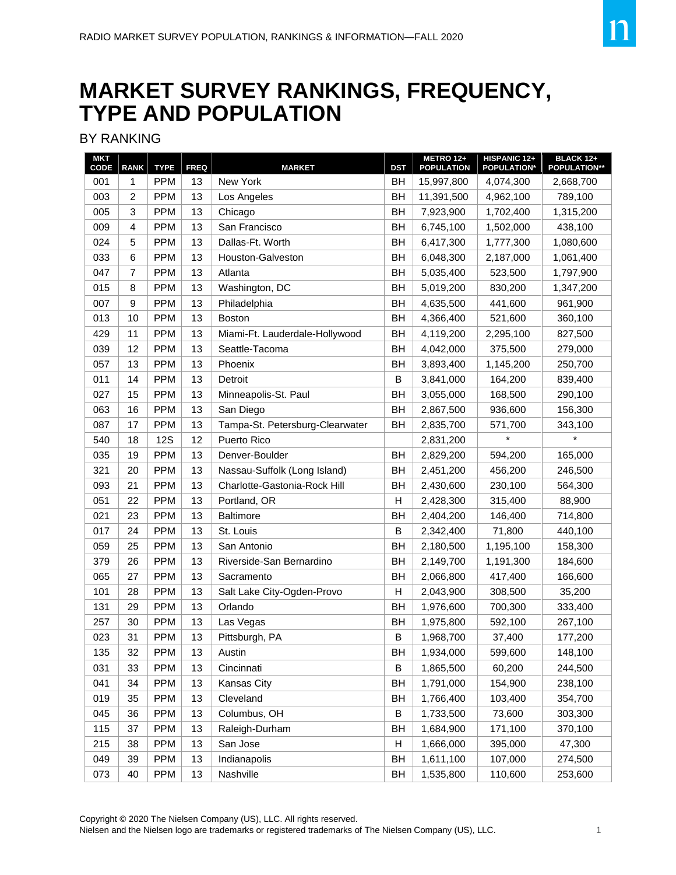## **MARKET SURVEY RANKINGS, FREQUENCY, TYPE AND POPULATION**

#### BY RANKING

| <b>MKT</b><br>CODE | <b>RANK</b>    | <b>TYPE</b> | <b>FREQ</b> | <b>MARKET</b>                   | <b>DST</b> | METRO 12+<br><b>POPULATION</b> | HISPANIC 12+<br><b>POPULATION*</b> | <b>BLACK 12+</b><br><b>POPULATION**</b> |
|--------------------|----------------|-------------|-------------|---------------------------------|------------|--------------------------------|------------------------------------|-----------------------------------------|
| 001                | 1              | <b>PPM</b>  | 13          | New York                        | BH         | 15,997,800                     | 4,074,300                          | 2,668,700                               |
| 003                | $\overline{c}$ | <b>PPM</b>  | 13          | Los Angeles                     | <b>BH</b>  | 11,391,500                     | 4,962,100                          | 789,100                                 |
| 005                | 3              | <b>PPM</b>  | 13          | Chicago                         | BH         | 7,923,900                      | 1,702,400                          | 1,315,200                               |
| 009                | 4              | <b>PPM</b>  | 13          | San Francisco                   | <b>BH</b>  | 6,745,100                      | 1,502,000                          | 438,100                                 |
| 024                | 5              | <b>PPM</b>  | 13          | Dallas-Ft. Worth                | <b>BH</b>  | 6,417,300                      | 1,777,300                          | 1,080,600                               |
| 033                | 6              | <b>PPM</b>  | 13          | Houston-Galveston               | <b>BH</b>  | 6,048,300                      | 2,187,000                          | 1,061,400                               |
| 047                | $\overline{7}$ | <b>PPM</b>  | 13          | Atlanta                         | <b>BH</b>  | 5,035,400                      | 523,500                            | 1,797,900                               |
| 015                | 8              | <b>PPM</b>  | 13          | Washington, DC                  | <b>BH</b>  | 5,019,200                      | 830.200                            | 1,347,200                               |
| 007                | 9              | <b>PPM</b>  | 13          | Philadelphia                    | <b>BH</b>  | 4,635,500                      | 441,600                            | 961,900                                 |
| 013                | 10             | <b>PPM</b>  | 13          | Boston                          | <b>BH</b>  | 4,366,400                      | 521,600                            | 360,100                                 |
| 429                | 11             | <b>PPM</b>  | 13          | Miami-Ft. Lauderdale-Hollywood  | <b>BH</b>  | 4,119,200                      | 2,295,100                          | 827,500                                 |
| 039                | 12             | <b>PPM</b>  | 13          | Seattle-Tacoma                  | <b>BH</b>  | 4,042,000                      | 375,500                            | 279,000                                 |
| 057                | 13             | <b>PPM</b>  | 13          | Phoenix                         | <b>BH</b>  | 3,893,400                      | 1,145,200                          | 250,700                                 |
| 011                | 14             | <b>PPM</b>  | 13          | Detroit                         | B          | 3,841,000                      | 164,200                            | 839,400                                 |
| 027                | 15             | <b>PPM</b>  | 13          | Minneapolis-St. Paul            | <b>BH</b>  | 3,055,000                      | 168,500                            | 290,100                                 |
| 063                | 16             | <b>PPM</b>  | 13          | San Diego                       | <b>BH</b>  | 2,867,500                      | 936,600                            | 156,300                                 |
| 087                | 17             | <b>PPM</b>  | 13          | Tampa-St. Petersburg-Clearwater | <b>BH</b>  | 2,835,700                      | 571,700                            | 343,100                                 |
| 540                | 18             | <b>12S</b>  | 12          | Puerto Rico                     |            | 2,831,200                      | $\star$                            | $\star$                                 |
| 035                | 19             | <b>PPM</b>  | 13          | Denver-Boulder                  | <b>BH</b>  | 2,829,200                      | 594,200                            | 165,000                                 |
| 321                | 20             | <b>PPM</b>  | 13          | Nassau-Suffolk (Long Island)    | <b>BH</b>  | 2,451,200                      | 456,200                            | 246,500                                 |
| 093                | 21             | <b>PPM</b>  | 13          | Charlotte-Gastonia-Rock Hill    | <b>BH</b>  | 2,430,600                      | 230,100                            | 564,300                                 |
| 051                | 22             | <b>PPM</b>  | 13          | Portland, OR                    | н          | 2,428,300                      | 315,400                            | 88,900                                  |
| 021                | 23             | <b>PPM</b>  | 13          | <b>Baltimore</b>                | <b>BH</b>  | 2,404,200                      | 146,400                            | 714,800                                 |
| 017                | 24             | <b>PPM</b>  | 13          | St. Louis                       | B          | 2,342,400                      | 71,800                             | 440,100                                 |
| 059                | 25             | <b>PPM</b>  | 13          | San Antonio                     | <b>BH</b>  | 2,180,500                      | 1,195,100                          | 158,300                                 |
| 379                | 26             | <b>PPM</b>  | 13          | Riverside-San Bernardino        | BH         | 2,149,700                      | 1,191,300                          | 184,600                                 |
| 065                | 27             | <b>PPM</b>  | 13          | Sacramento                      | <b>BH</b>  | 2,066,800                      | 417,400                            | 166,600                                 |
| 101                | 28             | <b>PPM</b>  | 13          | Salt Lake City-Ogden-Provo      | Н          | 2,043,900                      | 308,500                            | 35,200                                  |
| 131                | 29             | <b>PPM</b>  | 13          | Orlando                         | <b>BH</b>  | 1,976,600                      | 700,300                            | 333,400                                 |
| 257                | 30             | <b>PPM</b>  | 13          | Las Vegas                       | <b>BH</b>  | 1,975,800                      | 592,100                            | 267,100                                 |
| 023                | 31             | <b>PPM</b>  | 13          | Pittsburgh, PA                  | B          | 1,968,700                      | 37,400                             | 177,200                                 |
| 135                | 32             | <b>PPM</b>  | 13          | Austin                          | <b>BH</b>  | 1,934,000                      | 599,600                            | 148,100                                 |
| 031                | 33             | <b>PPM</b>  | 13          | Cincinnati                      | B          | 1,865,500                      | 60,200                             | 244,500                                 |
| 041                | 34             | <b>PPM</b>  | 13          | Kansas City                     | BH         | 1,791,000                      | 154,900                            | 238,100                                 |
| 019                | 35             | <b>PPM</b>  | 13          | Cleveland                       | BH         | 1,766,400                      | 103,400                            | 354,700                                 |
| 045                | 36             | <b>PPM</b>  | 13          | Columbus, OH                    | В          | 1,733,500                      | 73,600                             | 303,300                                 |
| 115                | 37             | <b>PPM</b>  | 13          | Raleigh-Durham                  | BH         | 1,684,900                      | 171,100                            | 370,100                                 |
| 215                | 38             | <b>PPM</b>  | 13          | San Jose                        | Η          | 1,666,000                      | 395,000                            | 47,300                                  |
| 049                | 39             | <b>PPM</b>  | 13          | Indianapolis                    | BH         | 1,611,100                      | 107,000                            | 274,500                                 |
| 073                | 40             | <b>PPM</b>  | 13          | Nashville                       | BH         | 1,535,800                      | 110,600                            | 253,600                                 |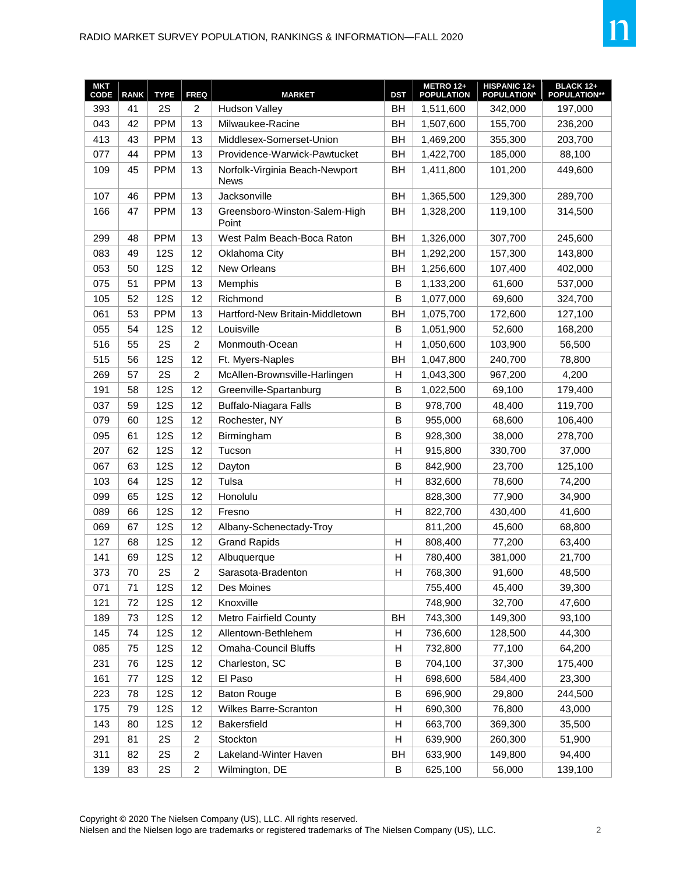| <b>MKT</b><br>CODE | <b>RANK</b> | <b>TYPE</b> | <b>FREQ</b>    | <b>MARKET</b>                                 | <b>DST</b>  | <b>METRO 12+</b><br><b>POPULATION</b> | HISPANIC 12+<br><b>POPULATION*</b> | <b>BLACK 12+</b><br><b>POPULATION**</b> |
|--------------------|-------------|-------------|----------------|-----------------------------------------------|-------------|---------------------------------------|------------------------------------|-----------------------------------------|
| 393                | 41          | 2S          | $\overline{2}$ | <b>Hudson Valley</b>                          | <b>BH</b>   | 1,511,600                             | 342,000                            | 197,000                                 |
| 043                | 42          | <b>PPM</b>  | 13             | Milwaukee-Racine                              | <b>BH</b>   | 1,507,600                             | 155,700                            | 236,200                                 |
| 413                | 43          | <b>PPM</b>  | 13             | Middlesex-Somerset-Union                      | ВH          | 1,469,200                             | 355,300                            | 203,700                                 |
| 077                | 44          | <b>PPM</b>  | 13             | Providence-Warwick-Pawtucket                  | BH          | 1,422,700                             | 185,000                            | 88,100                                  |
| 109                | 45          | <b>PPM</b>  | 13             | Norfolk-Virginia Beach-Newport<br><b>News</b> | ВH          | 1,411,800                             | 101,200                            | 449,600                                 |
| 107                | 46          | <b>PPM</b>  | 13             | Jacksonville                                  | BH          | 1,365,500                             | 129,300                            | 289,700                                 |
| 166                | 47          | <b>PPM</b>  | 13             | Greensboro-Winston-Salem-High<br>Point        | BH          | 1,328,200                             | 119,100                            | 314,500                                 |
| 299                | 48          | <b>PPM</b>  | 13             | West Palm Beach-Boca Raton                    | BH          | 1,326,000                             | 307,700                            | 245,600                                 |
| 083                | 49          | <b>12S</b>  | 12             | Oklahoma City                                 | BH          | 1,292,200                             | 157,300                            | 143,800                                 |
| 053                | 50          | <b>12S</b>  | 12             | New Orleans                                   | ВH          | 1,256,600                             | 107,400                            | 402,000                                 |
| 075                | 51          | <b>PPM</b>  | 13             | Memphis                                       | B           | 1,133,200                             | 61,600                             | 537,000                                 |
| 105                | 52          | <b>12S</b>  | 12             | Richmond                                      | B           | 1,077,000                             | 69,600                             | 324,700                                 |
| 061                | 53          | <b>PPM</b>  | 13             | Hartford-New Britain-Middletown               | ВH          | 1,075,700                             | 172,600                            | 127,100                                 |
| 055                | 54          | <b>12S</b>  | 12             | Louisville                                    | B           | 1,051,900                             | 52,600                             | 168,200                                 |
| 516                | 55          | 2S          | $\overline{c}$ | Monmouth-Ocean                                | H           | 1,050,600                             | 103,900                            | 56,500                                  |
| 515                | 56          | <b>12S</b>  | 12             | Ft. Myers-Naples                              | ВH          | 1,047,800                             | 240,700                            | 78,800                                  |
| 269                | 57          | 2S          | $\overline{c}$ | McAllen-Brownsville-Harlingen                 | H           | 1,043,300                             | 967,200                            | 4,200                                   |
| 191                | 58          | <b>12S</b>  | 12             | Greenville-Spartanburg                        | B           | 1,022,500                             | 69,100                             | 179,400                                 |
| 037                | 59          | <b>12S</b>  | 12             | <b>Buffalo-Niagara Falls</b>                  | B           | 978,700                               | 48,400                             | 119,700                                 |
| 079                | 60          | <b>12S</b>  | 12             | Rochester, NY                                 | $\mathsf B$ | 955,000                               | 68,600                             | 106,400                                 |
| 095                | 61          | <b>12S</b>  | 12             | Birmingham                                    | B           | 928,300                               | 38,000                             | 278,700                                 |
| 207                | 62          | <b>12S</b>  | 12             | Tucson                                        | H           | 915,800                               | 330,700                            | 37,000                                  |
| 067                | 63          | <b>12S</b>  | 12             | Dayton                                        | $\mathsf B$ | 842,900                               | 23,700                             | 125,100                                 |
| 103                | 64          | <b>12S</b>  | 12             | Tulsa                                         | H           | 832,600                               | 78,600                             | 74,200                                  |
| 099                | 65          | <b>12S</b>  | 12             | Honolulu                                      |             | 828,300                               | 77,900                             | 34,900                                  |
| 089                | 66          | <b>12S</b>  | 12             | Fresno                                        | H           | 822,700                               | 430,400                            | 41,600                                  |
| 069                | 67          | <b>12S</b>  | 12             | Albany-Schenectady-Troy                       |             | 811,200                               | 45,600                             | 68,800                                  |
| 127                | 68          | <b>12S</b>  | 12             | <b>Grand Rapids</b>                           | H           | 808,400                               | 77,200                             | 63,400                                  |
| 141                | 69          | <b>12S</b>  | 12             | Albuquerque                                   | H           | 780,400                               | 381,000                            | 21,700                                  |
| 373                | $70\,$      | 2S          | 2              | Sarasota-Bradenton                            | Н           | 768,300                               | 91,600                             | 48,500                                  |
| 071                | 71          | <b>12S</b>  | 12             | Des Moines                                    |             | 755,400                               | 45,400                             | 39,300                                  |
| 121                | 72          | <b>12S</b>  | 12             | Knoxville                                     |             | 748,900                               | 32,700                             | 47,600                                  |
| 189                | 73          | <b>12S</b>  | 12             | <b>Metro Fairfield County</b>                 | BH          | 743,300                               | 149,300                            | 93,100                                  |
| 145                | 74          | <b>12S</b>  | 12             | Allentown-Bethlehem                           | H           | 736,600                               | 128,500                            | 44,300                                  |
| 085                | 75          | <b>12S</b>  | 12             | <b>Omaha-Council Bluffs</b>                   | H           | 732,800                               | 77,100                             | 64,200                                  |
| 231                | 76          | <b>12S</b>  | 12             | Charleston, SC                                | B           | 704,100                               | 37,300                             | 175,400                                 |
| 161                | 77          | <b>12S</b>  | 12             | El Paso                                       | H           | 698,600                               | 584,400                            | 23,300                                  |
| 223                | 78          | <b>12S</b>  | 12             | <b>Baton Rouge</b>                            | B           | 696,900                               | 29,800                             | 244,500                                 |
| 175                | 79          | <b>12S</b>  | 12             | <b>Wilkes Barre-Scranton</b>                  | H           | 690,300                               | 76,800                             | 43,000                                  |
| 143                | 80          | <b>12S</b>  | 12             | Bakersfield                                   | H           | 663,700                               | 369,300                            | 35,500                                  |
| 291                | 81          | 2S          | $\overline{c}$ | Stockton                                      | H           | 639,900                               | 260,300                            | 51,900                                  |
| 311                | 82          | 2S          | $\overline{c}$ | Lakeland-Winter Haven                         | ВH          | 633,900                               | 149,800                            | 94,400                                  |
| 139                | 83          | 2S          | $\overline{2}$ | Wilmington, DE                                | B           | 625,100                               | 56,000                             | 139,100                                 |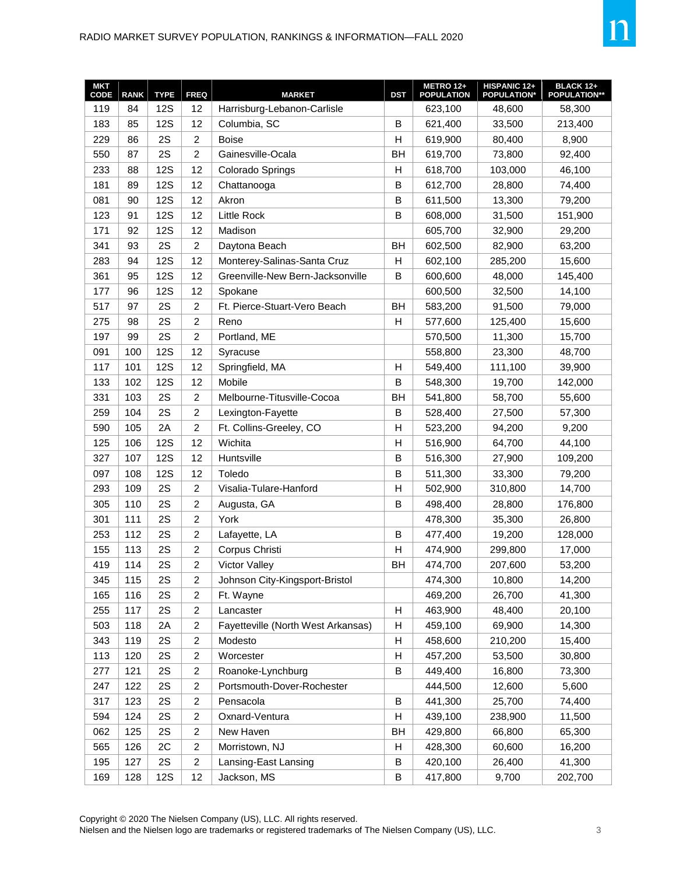| <b>MKT</b><br>CODE | <b>RANK</b> | <b>TYPE</b> | <b>FREQ</b>             | <b>MARKET</b>                      | <b>DST</b>   | METRO 12+<br><b>POPULATION</b> | HISPANIC 12+<br><b>POPULATION*</b> | <b>BLACK 12+</b><br><b>POPULATION**</b> |
|--------------------|-------------|-------------|-------------------------|------------------------------------|--------------|--------------------------------|------------------------------------|-----------------------------------------|
| 119                | 84          | <b>12S</b>  | 12                      | Harrisburg-Lebanon-Carlisle        |              | 623,100                        | 48,600                             | 58,300                                  |
| 183                | 85          | <b>12S</b>  | 12                      | Columbia, SC                       | B            | 621,400                        | 33,500                             | 213,400                                 |
| 229                | 86          | 2S          | $\overline{c}$          | <b>Boise</b>                       | H            | 619,900                        | 80,400                             | 8,900                                   |
| 550                | 87          | 2S          | $\overline{c}$          | Gainesville-Ocala                  | <b>BH</b>    | 619,700                        | 73,800                             | 92,400                                  |
| 233                | 88          | <b>12S</b>  | 12                      | Colorado Springs                   | н            | 618,700                        | 103,000                            | 46,100                                  |
| 181                | 89          | <b>12S</b>  | 12                      | Chattanooga                        | $\mathsf B$  | 612,700                        | 28,800                             | 74,400                                  |
| 081                | 90          | <b>12S</b>  | 12                      | Akron                              | B            | 611,500                        | 13,300                             | 79,200                                  |
| 123                | 91          | <b>12S</b>  | 12                      | Little Rock                        | B            | 608,000                        | 31,500                             | 151,900                                 |
| 171                | 92          | <b>12S</b>  | 12                      | Madison                            |              | 605,700                        | 32,900                             | 29,200                                  |
| 341                | 93          | 2S          | $\overline{c}$          | Daytona Beach                      | <b>BH</b>    | 602,500                        | 82,900                             | 63,200                                  |
| 283                | 94          | <b>12S</b>  | 12                      | Monterey-Salinas-Santa Cruz        | н            | 602,100                        | 285,200                            | 15,600                                  |
| 361                | 95          | <b>12S</b>  | 12                      | Greenville-New Bern-Jacksonville   | B            | 600,600                        | 48,000                             | 145,400                                 |
| 177                | 96          | <b>12S</b>  | 12                      | Spokane                            |              | 600,500                        | 32,500                             | 14,100                                  |
| 517                | 97          | 2S          | $\overline{c}$          | Ft. Pierce-Stuart-Vero Beach       | <b>BH</b>    | 583,200                        | 91,500                             | 79,000                                  |
| 275                | 98          | 2S          | $\overline{c}$          | Reno                               | H            | 577,600                        | 125,400                            | 15,600                                  |
| 197                | 99          | 2S          | $\overline{c}$          | Portland, ME                       |              | 570,500                        | 11,300                             | 15,700                                  |
| 091                | 100         | <b>12S</b>  | 12                      | Syracuse                           |              | 558,800                        | 23,300                             | 48,700                                  |
| 117                | 101         | <b>12S</b>  | 12                      | Springfield, MA                    | Н            | 549,400                        | 111,100                            | 39,900                                  |
| 133                | 102         | <b>12S</b>  | 12                      | Mobile                             | $\mathsf B$  | 548,300                        | 19,700                             | 142,000                                 |
| 331                | 103         | 2S          | $\overline{c}$          | Melbourne-Titusville-Cocoa         | <b>BH</b>    | 541,800                        | 58,700                             | 55,600                                  |
| 259                | 104         | 2S          | $\overline{c}$          | Lexington-Fayette                  | $\mathsf B$  | 528,400                        | 27,500                             | 57,300                                  |
| 590                | 105         | 2A          | $\overline{c}$          | Ft. Collins-Greeley, CO            | H            | 523,200                        | 94,200                             | 9,200                                   |
| 125                | 106         | <b>12S</b>  | 12                      | Wichita                            | $\mathsf{H}$ | 516,900                        | 64,700                             | 44,100                                  |
| 327                | 107         | <b>12S</b>  | 12                      | Huntsville                         | B            | 516,300                        | 27,900                             | 109,200                                 |
| 097                | 108         | <b>12S</b>  | 12                      | Toledo                             | $\mathsf B$  | 511,300                        | 33,300                             | 79,200                                  |
| 293                | 109         | 2S          | $\overline{c}$          | Visalia-Tulare-Hanford             | Н            | 502,900                        | 310,800                            | 14,700                                  |
| 305                | 110         | 2S          | $\overline{c}$          | Augusta, GA                        | B            | 498,400                        | 28,800                             | 176,800                                 |
| 301                | 111         | 2S          | $\overline{c}$          | York                               |              | 478,300                        | 35,300                             | 26,800                                  |
| 253                | 112         | 2S          | $\overline{c}$          | Lafayette, LA                      | $\mathsf B$  | 477,400                        | 19,200                             | 128,000                                 |
| 155                | 113         | 2S          | $\overline{c}$          | Corpus Christi                     | $\mathsf{H}$ | 474,900                        | 299,800                            | 17,000                                  |
| 419                | 114         | 2S          | $\overline{c}$          | <b>Victor Valley</b>               | <b>BH</b>    | 474,700                        | 207,600                            | 53,200                                  |
| 345                | 115         | 2S          | 2                       | Johnson City-Kingsport-Bristol     |              | 474,300                        | 10,800                             | 14,200                                  |
| 165                | 116         | 2S          | $\overline{c}$          | Ft. Wayne                          |              | 469,200                        | 26,700                             | 41,300                                  |
| 255                | 117         | 2S          | $\overline{c}$          | Lancaster                          | Η            | 463,900                        | 48,400                             | 20,100                                  |
| 503                | 118         | 2A          | $\overline{c}$          | Fayetteville (North West Arkansas) | Η            | 459,100                        | 69,900                             | 14,300                                  |
| 343                | 119         | 2S          | $\overline{c}$          | Modesto                            | Η            | 458,600                        | 210,200                            | 15,400                                  |
| 113                | 120         | 2S          | $\overline{c}$          | Worcester                          | $\mathsf{H}$ | 457,200                        | 53,500                             | 30,800                                  |
| 277                | 121         | 2S          | $\overline{c}$          | Roanoke-Lynchburg                  | B            | 449,400                        | 16,800                             | 73,300                                  |
| 247                | 122         | 2S          | $\overline{c}$          | Portsmouth-Dover-Rochester         |              | 444,500                        | 12,600                             | 5,600                                   |
| 317                | 123         | 2S          | $\overline{\mathbf{c}}$ | Pensacola                          | B            | 441,300                        | 25,700                             | 74,400                                  |
| 594                | 124         | 2S          | $\overline{c}$          | Oxnard-Ventura                     | н            | 439,100                        | 238,900                            | 11,500                                  |
| 062                | 125         | 2S          | $\overline{c}$          | New Haven                          | BH           | 429,800                        | 66,800                             | 65,300                                  |
| 565                | 126         | 2C          | $\overline{c}$          | Morristown, NJ                     | Η            | 428,300                        | 60,600                             | 16,200                                  |
| 195                | 127         | 2S          | $\overline{c}$          | Lansing-East Lansing               | $\sf B$      | 420,100                        | 26,400                             | 41,300                                  |
| 169                | 128         | <b>12S</b>  | 12                      | Jackson, MS                        | B            | 417,800                        | 9,700                              | 202,700                                 |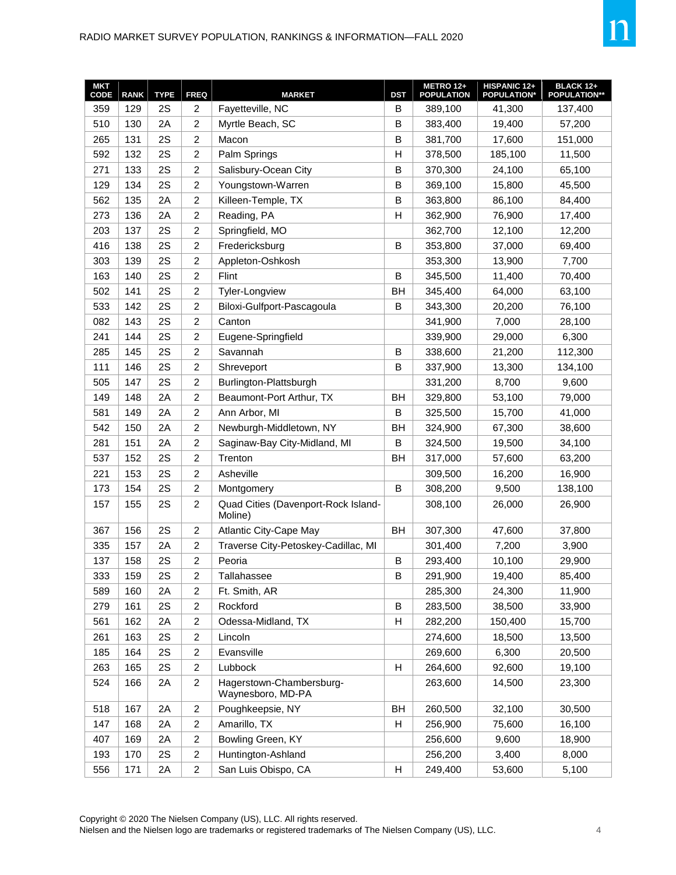| <b>MKT</b><br>CODE | <b>RANK</b> | <b>TYPE</b> | <b>FREQ</b>    | <b>MARKET</b>                                  | <b>DST</b> | METRO 12+<br><b>POPULATION</b> | HISPANIC 12+<br><b>POPULATION*</b> | <b>BLACK 12+</b><br><b>POPULATION**</b> |
|--------------------|-------------|-------------|----------------|------------------------------------------------|------------|--------------------------------|------------------------------------|-----------------------------------------|
| 359                | 129         | 2S          | 2              | Fayetteville, NC                               | B          | 389,100                        | 41,300                             | 137,400                                 |
| 510                | 130         | 2A          | $\overline{c}$ | Myrtle Beach, SC                               | B          | 383,400                        | 19,400                             | 57,200                                  |
| 265                | 131         | 2S          | $\overline{c}$ | Macon                                          | B          | 381,700                        | 17,600                             | 151,000                                 |
| 592                | 132         | 2S          | $\overline{c}$ | Palm Springs                                   | H          | 378,500                        | 185,100                            | 11,500                                  |
| 271                | 133         | 2S          | $\overline{2}$ | Salisbury-Ocean City                           | B          | 370,300                        | 24,100                             | 65,100                                  |
| 129                | 134         | 2S          | $\overline{c}$ | Youngstown-Warren                              | B          | 369,100                        | 15,800                             | 45,500                                  |
| 562                | 135         | 2A          | $\overline{c}$ | Killeen-Temple, TX                             | B          | 363,800                        | 86,100                             | 84,400                                  |
| 273                | 136         | 2A          | $\overline{c}$ | Reading, PA                                    | H          | 362,900                        | 76,900                             | 17,400                                  |
| 203                | 137         | 2S          | $\overline{c}$ | Springfield, MO                                |            | 362,700                        | 12,100                             | 12,200                                  |
| 416                | 138         | 2S          | $\overline{c}$ | Fredericksburg                                 | B          | 353,800                        | 37,000                             | 69,400                                  |
| 303                | 139         | 2S          | $\overline{c}$ | Appleton-Oshkosh                               |            | 353,300                        | 13,900                             | 7,700                                   |
| 163                | 140         | 2S          | $\overline{c}$ | Flint                                          | B          | 345,500                        | 11,400                             | 70,400                                  |
| 502                | 141         | 2S          | $\overline{c}$ | <b>Tyler-Longview</b>                          | <b>BH</b>  | 345,400                        | 64,000                             | 63,100                                  |
| 533                | 142         | 2S          | $\overline{c}$ | Biloxi-Gulfport-Pascagoula                     | B          | 343,300                        | 20,200                             | 76,100                                  |
| 082                | 143         | 2S          | $\overline{c}$ | Canton                                         |            | 341,900                        | 7,000                              | 28,100                                  |
| 241                | 144         | 2S          | $\overline{c}$ | Eugene-Springfield                             |            | 339,900                        | 29,000                             | 6,300                                   |
| 285                | 145         | 2S          | $\overline{c}$ | Savannah                                       | B          | 338,600                        | 21,200                             | 112,300                                 |
| 111                | 146         | 2S          | $\overline{2}$ | Shreveport                                     | B          | 337,900                        | 13,300                             | 134,100                                 |
| 505                | 147         | 2S          | $\overline{c}$ | Burlington-Plattsburgh                         |            | 331,200                        | 8,700                              | 9,600                                   |
| 149                | 148         | 2A          | $\overline{c}$ | Beaumont-Port Arthur, TX                       | BH         | 329,800                        | 53,100                             | 79,000                                  |
| 581                | 149         | 2A          | $\overline{c}$ | Ann Arbor, MI                                  | B          | 325,500                        | 15,700                             | 41,000                                  |
| 542                | 150         | 2A          | $\overline{c}$ | Newburgh-Middletown, NY                        | BH         | 324,900                        | 67,300                             | 38,600                                  |
| 281                | 151         | 2A          | $\overline{c}$ | Saginaw-Bay City-Midland, MI                   | B          | 324,500                        | 19,500                             | 34,100                                  |
| 537                | 152         | 2S          | $\overline{c}$ | Trenton                                        | <b>BH</b>  | 317,000                        | 57,600                             | 63,200                                  |
| 221                | 153         | 2S          | $\overline{c}$ | Asheville                                      |            | 309,500                        | 16,200                             | 16,900                                  |
| 173                | 154         | 2S          | $\overline{c}$ | Montgomery                                     | B          | 308,200                        | 9,500                              | 138,100                                 |
| 157                | 155         | 2S          | 2              | Quad Cities (Davenport-Rock Island-<br>Moline) |            | 308,100                        | 26,000                             | 26,900                                  |
| 367                | 156         | 2S          | 2              | Atlantic City-Cape May                         | BH         | 307,300                        | 47,600                             | 37,800                                  |
| 335                | 157         | 2A          | $\overline{c}$ | Traverse City-Petoskey-Cadillac, MI            |            | 301,400                        | 7,200                              | 3,900                                   |
| 137                | 158         | 2S          | $\overline{c}$ | Peoria                                         | B          | 293,400                        | 10,100                             | 29,900                                  |
| 333                | 159         | 2S          | $\overline{c}$ | Tallahassee                                    | B          | 291,900                        | 19,400                             | 85,400                                  |
| 589                | 160         | 2A          | $\overline{2}$ | Ft. Smith, AR                                  |            | 285,300                        | 24,300                             | 11,900                                  |
| 279                | 161         | 2S          | $\overline{c}$ | Rockford                                       | $\sf B$    | 283,500                        | 38,500                             | 33,900                                  |
| 561                | 162         | 2A          | $\overline{c}$ | Odessa-Midland, TX                             | H          | 282,200                        | 150,400                            | 15,700                                  |
| 261                | 163         | 2S          | $\overline{c}$ | Lincoln                                        |            | 274,600                        | 18,500                             | 13,500                                  |
| 185                | 164         | 2S          | $\overline{a}$ | Evansville                                     |            | 269,600                        | 6,300                              | 20,500                                  |
| 263                | 165         | 2S          | $\overline{c}$ | Lubbock                                        | H          | 264,600                        | 92,600                             | 19,100                                  |
| 524                | 166         | 2A          | $\overline{c}$ | Hagerstown-Chambersburg-<br>Waynesboro, MD-PA  |            | 263,600                        | 14,500                             | 23,300                                  |
| 518                | 167         | 2A          | $\overline{c}$ | Poughkeepsie, NY                               | <b>BH</b>  | 260,500                        | 32,100                             | 30,500                                  |
| 147                | 168         | 2A          | $\overline{c}$ | Amarillo, TX                                   | H          | 256,900                        | 75,600                             | 16,100                                  |
| 407                | 169         | 2A          | $\overline{c}$ | Bowling Green, KY                              |            | 256,600                        | 9,600                              | 18,900                                  |
| 193                | 170         | 2S          | $\overline{a}$ | Huntington-Ashland                             |            | 256,200                        | 3,400                              | 8,000                                   |
| 556                | 171         | 2A          | 2              | San Luis Obispo, CA                            | H          | 249,400                        | 53,600                             | 5,100                                   |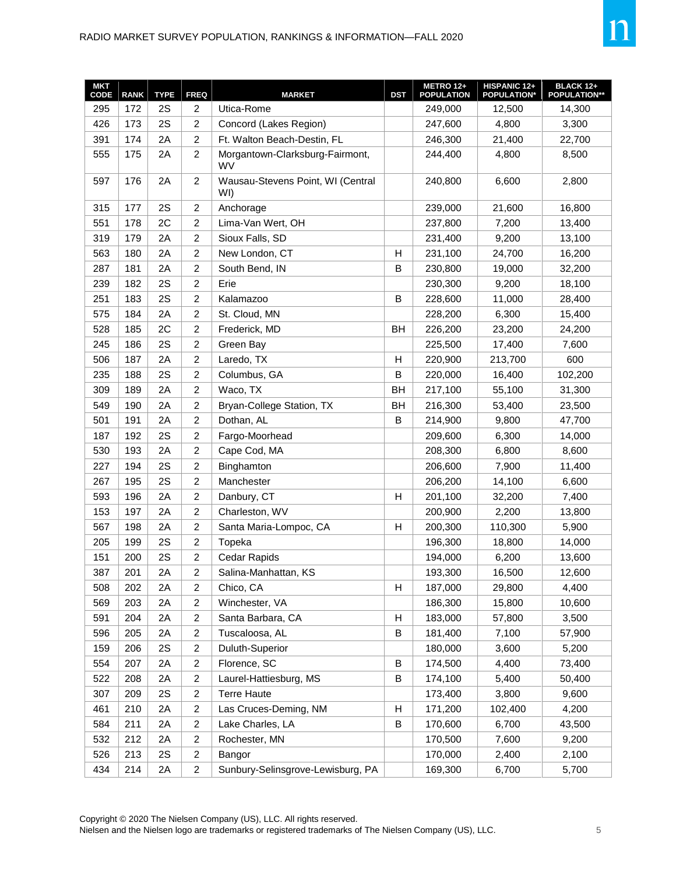| <b>MKT</b><br>CODE | <b>RANK</b> | <b>TYPE</b> | <b>FREQ</b>             | <b>MARKET</b>                            | <b>DST</b> | <b>METRO 12+</b><br><b>POPULATION</b> | HISPANIC 12+<br>POPULATION* | <b>BLACK 12+</b><br><b>POPULATION**</b> |
|--------------------|-------------|-------------|-------------------------|------------------------------------------|------------|---------------------------------------|-----------------------------|-----------------------------------------|
| 295                | 172         | 2S          | $\overline{c}$          | Utica-Rome                               |            | 249,000                               | 12,500                      | 14,300                                  |
| 426                | 173         | 2S          | $\overline{c}$          | Concord (Lakes Region)                   |            | 247,600                               | 4,800                       | 3,300                                   |
| 391                | 174         | 2A          | $\overline{c}$          | Ft. Walton Beach-Destin, FL              |            | 246,300                               | 21,400                      | 22,700                                  |
| 555                | 175         | 2A          | $\overline{2}$          | Morgantown-Clarksburg-Fairmont,<br>WV    |            | 244,400                               | 4,800                       | 8,500                                   |
| 597                | 176         | 2A          | $\overline{2}$          | Wausau-Stevens Point, WI (Central<br>WI) |            | 240,800                               | 6,600                       | 2,800                                   |
| 315                | 177         | 2S          | $\overline{c}$          | Anchorage                                |            | 239,000                               | 21,600                      | 16,800                                  |
| 551                | 178         | 2C          | $\overline{c}$          | Lima-Van Wert, OH                        |            | 237,800                               | 7,200                       | 13,400                                  |
| 319                | 179         | 2A          | $\overline{c}$          | Sioux Falls, SD                          |            | 231,400                               | 9,200                       | 13,100                                  |
| 563                | 180         | 2A          | $\overline{c}$          | New London, CT                           | Н          | 231,100                               | 24,700                      | 16,200                                  |
| 287                | 181         | 2A          | $\overline{c}$          | South Bend, IN                           | B          | 230,800                               | 19,000                      | 32,200                                  |
| 239                | 182         | 2S          | $\overline{c}$          | Erie                                     |            | 230,300                               | 9,200                       | 18,100                                  |
| 251                | 183         | 2S          | $\overline{2}$          | Kalamazoo                                | B          | 228,600                               | 11,000                      | 28,400                                  |
| 575                | 184         | 2A          | $\overline{c}$          | St. Cloud, MN                            |            | 228,200                               | 6,300                       | 15,400                                  |
| 528                | 185         | 2C          | $\overline{c}$          | Frederick, MD                            | <b>BH</b>  | 226,200                               | 23,200                      | 24,200                                  |
| 245                | 186         | 2S          | $\overline{c}$          | Green Bay                                |            | 225,500                               | 17,400                      | 7,600                                   |
| 506                | 187         | 2A          | $\overline{c}$          | Laredo, TX                               | н          | 220,900                               | 213,700                     | 600                                     |
| 235                | 188         | 2S          | $\overline{c}$          | Columbus, GA                             | B          | 220,000                               | 16,400                      | 102,200                                 |
| 309                | 189         | 2A          | $\overline{c}$          | Waco, TX                                 | BH         | 217,100                               | 55,100                      | 31,300                                  |
| 549                | 190         | 2A          | $\overline{2}$          | Bryan-College Station, TX                | BH         | 216,300                               | 53,400                      | 23,500                                  |
| 501                | 191         | 2A          | $\overline{c}$          | Dothan, AL                               | B          | 214,900                               | 9,800                       | 47,700                                  |
| 187                | 192         | 2S          | $\overline{c}$          | Fargo-Moorhead                           |            | 209,600                               | 6,300                       | 14,000                                  |
| 530                | 193         | 2A          | $\overline{c}$          | Cape Cod, MA                             |            | 208,300                               | 6,800                       | 8,600                                   |
| 227                | 194         | 2S          | $\overline{c}$          | Binghamton                               |            | 206,600                               | 7,900                       | 11,400                                  |
| 267                | 195         | 2S          | $\overline{c}$          | Manchester                               |            | 206,200                               | 14,100                      | 6,600                                   |
| 593                | 196         | 2A          | $\overline{c}$          | Danbury, CT                              | н          | 201,100                               | 32,200                      | 7,400                                   |
| 153                | 197         | 2A          | $\overline{c}$          | Charleston, WV                           |            | 200,900                               | 2,200                       | 13,800                                  |
| 567                | 198         | 2A          | $\overline{c}$          | Santa Maria-Lompoc, CA                   | н          | 200,300                               | 110,300                     | 5,900                                   |
| 205                | 199         | 2S          | $\overline{c}$          | Topeka                                   |            | 196,300                               | 18,800                      | 14,000                                  |
| 151                | 200         | 2S          | $\overline{c}$          | Cedar Rapids                             |            | 194,000                               | 6,200                       | 13,600                                  |
| 387                | 201         | 2A          | $\overline{c}$          | Salina-Manhattan, KS                     |            | 193,300                               | 16,500                      | 12,600                                  |
| 508                | 202         | 2A          | $\overline{c}$          | Chico, CA                                | Н          | 187,000                               | 29,800                      | 4,400                                   |
| 569                | 203         | 2A          | 2                       | Winchester, VA                           |            | 186,300                               | 15,800                      | 10,600                                  |
| 591                | 204         | 2A          | $\overline{c}$          | Santa Barbara, CA                        | Η          | 183,000                               | 57,800                      | 3,500                                   |
| 596                | 205         | 2A          | $\overline{c}$          | Tuscaloosa, AL                           | B          | 181,400                               | 7,100                       | 57,900                                  |
| 159                | 206         | 2S          | $\overline{c}$          | Duluth-Superior                          |            | 180,000                               | 3,600                       | 5,200                                   |
| 554                | 207         | 2A          | $\overline{a}$          | Florence, SC                             | B          | 174,500                               | 4,400                       | 73,400                                  |
| 522                | 208         | 2A          | $\overline{c}$          | Laurel-Hattiesburg, MS                   | B          | 174,100                               | 5,400                       | 50,400                                  |
| 307                | 209         | 2S          | $\overline{c}$          | <b>Terre Haute</b>                       |            | 173,400                               | 3,800                       | 9,600                                   |
| 461                | 210         | 2A          | $\overline{\mathbf{c}}$ | Las Cruces-Deming, NM                    | н          | 171,200                               | 102,400                     | 4,200                                   |
| 584                | 211         | 2A          | $\overline{c}$          | Lake Charles, LA                         | B          | 170,600                               | 6,700                       | 43,500                                  |
| 532                | 212         | 2A          | $\overline{c}$          | Rochester, MN                            |            | 170,500                               | 7,600                       | 9,200                                   |
| 526                | 213         | 2S          | $\overline{c}$          | Bangor                                   |            | 170,000                               | 2,400                       | 2,100                                   |
| 434                | 214         | 2A          | $\overline{2}$          | Sunbury-Selinsgrove-Lewisburg, PA        |            | 169,300                               | 6,700                       | 5,700                                   |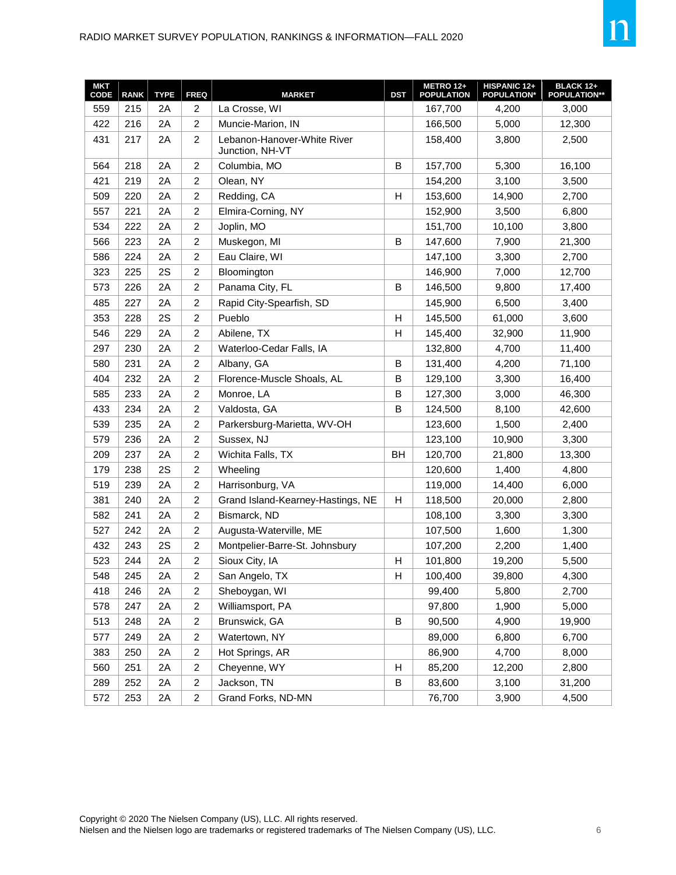| <b>MKT</b><br>CODE | <b>RANK</b> | <b>TYPE</b> | <b>FREQ</b>             | <b>MARKET</b>                                  | <b>DST</b>                | METRO 12+<br><b>POPULATION</b> | HISPANIC 12+<br><b>POPULATION*</b> | <b>BLACK 12+</b><br><b>POPULATION**</b> |
|--------------------|-------------|-------------|-------------------------|------------------------------------------------|---------------------------|--------------------------------|------------------------------------|-----------------------------------------|
| 559                | 215         | 2A          | 2                       | La Crosse, WI                                  |                           | 167,700                        | 4,200                              | 3,000                                   |
| 422                | 216         | 2A          | $\overline{c}$          | Muncie-Marion, IN                              |                           | 166,500                        | 5,000                              | 12,300                                  |
| 431                | 217         | 2A          | $\overline{\mathbf{c}}$ | Lebanon-Hanover-White River<br>Junction, NH-VT |                           | 158,400                        | 3,800                              | 2,500                                   |
| 564                | 218         | 2A          | $\overline{\mathbf{c}}$ | Columbia, MO                                   | B                         | 157,700                        | 5,300                              | 16,100                                  |
| 421                | 219         | 2A          | $\overline{c}$          | Olean, NY                                      |                           | 154,200                        | 3,100                              | 3,500                                   |
| 509                | 220         | 2A          | 2                       | Redding, CA                                    | H                         | 153,600                        | 14,900                             | 2,700                                   |
| 557                | 221         | 2A          | $\overline{c}$          | Elmira-Corning, NY                             |                           | 152,900                        | 3,500                              | 6,800                                   |
| 534                | 222         | 2A          | 2                       | Joplin, MO                                     |                           | 151,700                        | 10,100                             | 3,800                                   |
| 566                | 223         | 2A          | $\overline{\mathbf{c}}$ | Muskegon, MI                                   | B                         | 147,600                        | 7,900                              | 21,300                                  |
| 586                | 224         | 2A          | $\overline{c}$          | Eau Claire, WI                                 |                           | 147,100                        | 3,300                              | 2,700                                   |
| 323                | 225         | 2S          | $\overline{c}$          | Bloomington                                    |                           | 146,900                        | 7,000                              | 12,700                                  |
| 573                | 226         | 2A          | $\overline{c}$          | Panama City, FL                                | B                         | 146,500                        | 9,800                              | 17,400                                  |
| 485                | 227         | 2A          | 2                       | Rapid City-Spearfish, SD                       |                           | 145,900                        | 6,500                              | 3,400                                   |
| 353                | 228         | 2S          | 2                       | Pueblo                                         | H                         | 145,500                        | 61,000                             | 3,600                                   |
| 546                | 229         | 2A          | $\overline{\mathbf{c}}$ | Abilene, TX                                    | H                         | 145,400                        | 32,900                             | 11,900                                  |
| 297                | 230         | 2A          | $\overline{c}$          | Waterloo-Cedar Falls, IA                       |                           | 132,800                        | 4,700                              | 11,400                                  |
| 580                | 231         | 2A          | $\overline{\mathbf{c}}$ | Albany, GA                                     | B                         | 131,400                        | 4,200                              | 71,100                                  |
| 404                | 232         | 2A          | $\overline{\mathbf{c}}$ | Florence-Muscle Shoals, AL                     | B                         | 129,100                        | 3,300                              | 16,400                                  |
| 585                | 233         | 2A          | $\overline{2}$          | Monroe, LA                                     | B                         | 127,300                        | 3,000                              | 46,300                                  |
| 433                | 234         | 2A          | 2                       | Valdosta, GA                                   | B                         | 124,500                        | 8,100                              | 42,600                                  |
| 539                | 235         | 2A          | 2                       | Parkersburg-Marietta, WV-OH                    |                           | 123,600                        | 1,500                              | 2,400                                   |
| 579                | 236         | 2A          | $\overline{c}$          | Sussex, NJ                                     |                           | 123,100                        | 10,900                             | 3,300                                   |
| 209                | 237         | 2A          | $\overline{\mathbf{c}}$ | Wichita Falls, TX                              | BH                        | 120,700                        | 21,800                             | 13,300                                  |
| 179                | 238         | 2S          | $\overline{c}$          | Wheeling                                       |                           | 120,600                        | 1,400                              | 4,800                                   |
| 519                | 239         | 2A          | $\overline{\mathbf{c}}$ | Harrisonburg, VA                               |                           | 119,000                        | 14,400                             | 6,000                                   |
| 381                | 240         | 2A          | $\overline{c}$          | Grand Island-Kearney-Hastings, NE              | Н                         | 118,500                        | 20,000                             | 2,800                                   |
| 582                | 241         | 2A          | $\overline{\mathbf{c}}$ | Bismarck, ND                                   |                           | 108,100                        | 3,300                              | 3,300                                   |
| 527                | 242         | 2A          | $\overline{\mathbf{c}}$ | Augusta-Waterville, ME                         |                           | 107,500                        | 1,600                              | 1,300                                   |
| 432                | 243         | 2S          | $\overline{c}$          | Montpelier-Barre-St. Johnsbury                 |                           | 107,200                        | 2,200                              | 1,400                                   |
| 523                | 244         | 2A          | $\overline{c}$          | Sioux City, IA                                 | $\boldsymbol{\mathsf{H}}$ | 101,800                        | 19,200                             | 5,500                                   |
| 548                | 245         | 2A          | $\overline{\mathbf{c}}$ | San Angelo, TX                                 | $\boldsymbol{\mathsf{H}}$ | 100,400                        | 39,800                             | 4,300                                   |
| 418                | 246         | 2A          | $\overline{c}$          | Sheboygan, WI                                  |                           | 99,400                         | 5,800                              | 2,700                                   |
| 578                | 247         | 2A          | $\overline{\mathbf{c}}$ | Williamsport, PA                               |                           | 97,800                         | 1,900                              | 5,000                                   |
| 513                | 248         | 2A          | $\overline{c}$          | Brunswick, GA                                  | $\, {\bf B}$              | 90,500                         | 4,900                              | 19,900                                  |
| 577                | 249         | 2A          | $\overline{\mathbf{c}}$ | Watertown, NY                                  |                           | 89,000                         | 6,800                              | 6,700                                   |
| 383                | 250         | 2A          | $\overline{\mathbf{c}}$ | Hot Springs, AR                                |                           | 86,900                         | 4,700                              | 8,000                                   |
| 560                | 251         | 2A          | $\overline{\mathbf{c}}$ | Cheyenne, WY                                   | H                         | 85,200                         | 12,200                             | 2,800                                   |
| 289                | 252         | 2A          | $\overline{c}$          | Jackson, TN                                    | B                         | 83,600                         | 3,100                              | 31,200                                  |
| 572                | 253         | 2A          | $\overline{a}$          | Grand Forks, ND-MN                             |                           | 76,700                         | 3,900                              | 4,500                                   |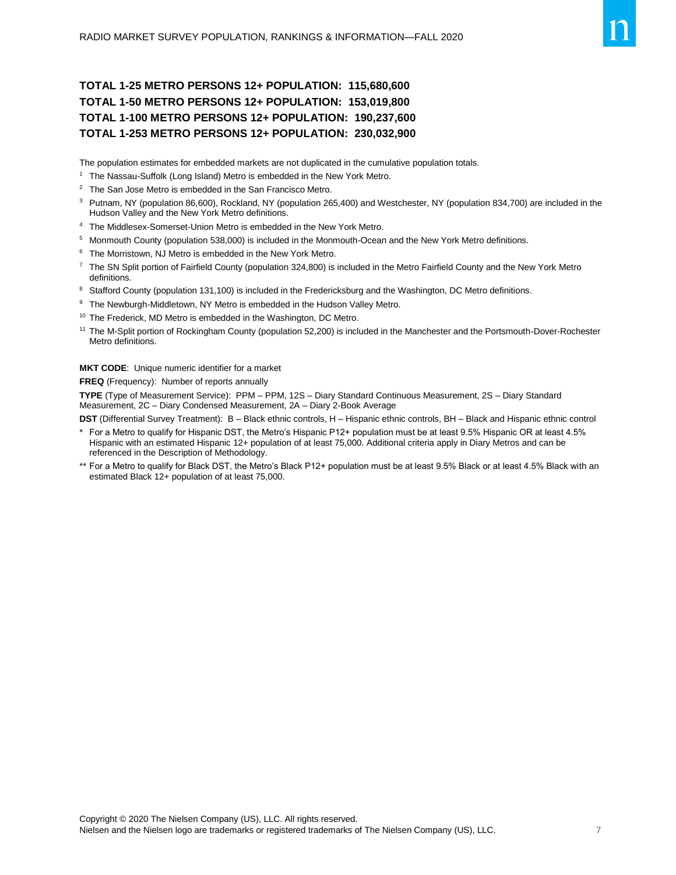#### **TOTAL 1-25 METRO PERSONS 12+ POPULATION: 115,680,600 TOTAL 1-50 METRO PERSONS 12+ POPULATION: 153,019,800 TOTAL 1-100 METRO PERSONS 12+ POPULATION: 190,237,600 TOTAL 1-253 METRO PERSONS 12+ POPULATION: 230,032,900**

The population estimates for embedded markets are not duplicated in the cumulative population totals.

- <sup>1</sup> The Nassau-Suffolk (Long Island) Metro is embedded in the New York Metro.
- <sup>2</sup> The San Jose Metro is embedded in the San Francisco Metro.
- <sup>3</sup> Putnam, NY (population 86,600), Rockland, NY (population 265,400) and Westchester, NY (population 834,700) are included in the Hudson Valley and the New York Metro definitions.
- <sup>4</sup> The Middlesex-Somerset-Union Metro is embedded in the New York Metro.
- <sup>5</sup> Monmouth County (population 538,000) is included in the Monmouth-Ocean and the New York Metro definitions.
- <sup>6</sup> The Morristown, NJ Metro is embedded in the New York Metro.
- <sup>7</sup> The SN Split portion of Fairfield County (population 324,800) is included in the Metro Fairfield County and the New York Metro definitions.
- 8 Stafford County (population 131,100) is included in the Fredericksburg and the Washington, DC Metro definitions.
- <sup>9</sup> The Newburgh-Middletown, NY Metro is embedded in the Hudson Valley Metro.
- <sup>10</sup> The Frederick, MD Metro is embedded in the Washington, DC Metro.
- <sup>11</sup> The M-Split portion of Rockingham County (population 52,200) is included in the Manchester and the Portsmouth-Dover-Rochester Metro definitions.

**MKT CODE**: Unique numeric identifier for a market

**FREQ** (Frequency): Number of reports annually

**TYPE** (Type of Measurement Service): PPM – PPM, 12S – Diary Standard Continuous Measurement, 2S – Diary Standard Measurement, 2C – Diary Condensed Measurement, 2A – Diary 2-Book Average

**DST** (Differential Survey Treatment): B – Black ethnic controls, H – Hispanic ethnic controls, BH – Black and Hispanic ethnic control

- For a Metro to qualify for Hispanic DST, the Metro's Hispanic P12+ population must be at least 9.5% Hispanic OR at least 4.5% Hispanic with an estimated Hispanic 12+ population of at least 75,000. Additional criteria apply in Diary Metros and can be referenced in the Description of Methodology.
- \*\* For a Metro to qualify for Black DST, the Metro's Black P12+ population must be at least 9.5% Black or at least 4.5% Black with an estimated Black 12+ population of at least 75,000.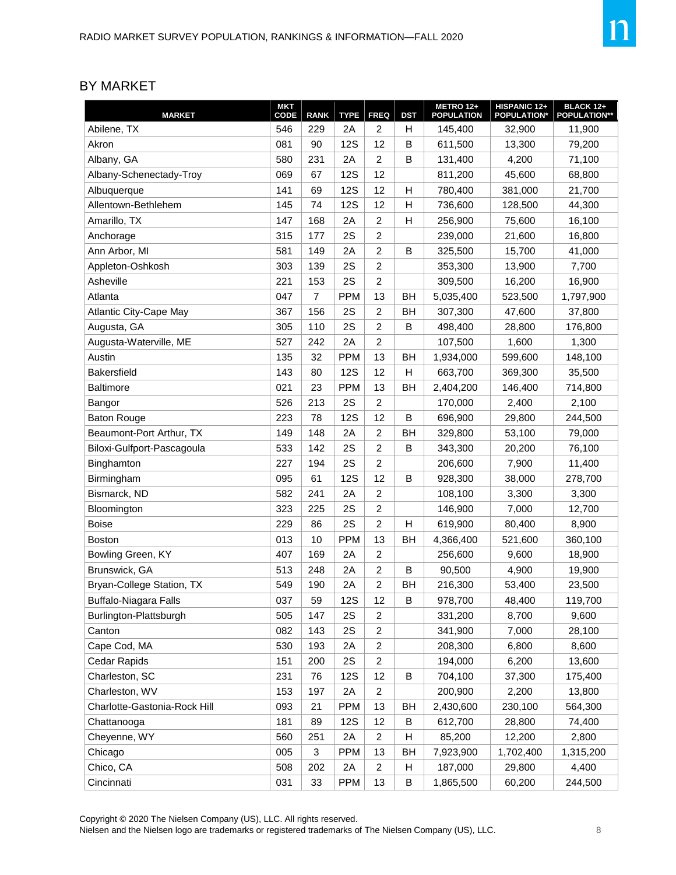#### BY MARKET

| <b>MARKET</b>                 | <b>MKT</b><br>CODE | <b>RANK</b>    | <b>TYPE</b> | <b>FREQ</b>      | <b>DST</b> | <b>METRO 12+</b><br><b>POPULATION</b> | HISPANIC 12+<br><b>POPULATION*</b> | <b>BLACK 12+</b><br><b>POPULATION**</b> |
|-------------------------------|--------------------|----------------|-------------|------------------|------------|---------------------------------------|------------------------------------|-----------------------------------------|
| Abilene, TX                   | 546                | 229            | 2Α          | 2                | Н          | 145,400                               | 32,900                             | 11,900                                  |
| Akron                         | 081                | 90             | <b>12S</b>  | 12               | B          | 611,500                               | 13,300                             | 79,200                                  |
| Albany, GA                    | 580                | 231            | 2A          | $\overline{2}$   | B          | 131,400                               | 4,200                              | 71,100                                  |
| Albany-Schenectady-Troy       | 069                | 67             | <b>12S</b>  | 12               |            | 811,200                               | 45,600                             | 68,800                                  |
| Albuquerque                   | 141                | 69             | <b>12S</b>  | 12               | н          | 780,400                               | 381,000                            | 21,700                                  |
| Allentown-Bethlehem           | 145                | 74             | <b>12S</b>  | 12               | Н          | 736,600                               | 128,500                            | 44,300                                  |
| Amarillo, TX                  | 147                | 168            | 2A          | $\overline{2}$   | H          | 256,900                               | 75,600                             | 16,100                                  |
| Anchorage                     | 315                | 177            | 2S          | 2                |            | 239,000                               | 21,600                             | 16,800                                  |
| Ann Arbor, MI                 | 581                | 149            | 2A          | $\overline{2}$   | B          | 325,500                               | 15,700                             | 41,000                                  |
| Appleton-Oshkosh              | 303                | 139            | 2S          | $\overline{2}$   |            | 353,300                               | 13,900                             | 7,700                                   |
| Asheville                     | 221                | 153            | 2S          | 2                |            | 309,500                               | 16,200                             | 16,900                                  |
| Atlanta                       | 047                | $\overline{7}$ | <b>PPM</b>  | 13               | BН         | 5,035,400                             | 523,500                            | 1,797,900                               |
| <b>Atlantic City-Cape May</b> | 367                | 156            | 2S          | $\overline{c}$   | <b>BH</b>  | 307,300                               | 47,600                             | 37,800                                  |
| Augusta, GA                   | 305                | 110            | 2S          | $\overline{c}$   | B          | 498,400                               | 28,800                             | 176,800                                 |
| Augusta-Waterville, ME        | 527                | 242            | 2A          | 2                |            | 107,500                               | 1,600                              | 1,300                                   |
| Austin                        | 135                | 32             | <b>PPM</b>  | 13               | BH         | 1,934,000                             | 599,600                            | 148,100                                 |
| <b>Bakersfield</b>            | 143                | 80             | <b>12S</b>  | 12               | н          | 663,700                               | 369,300                            | 35,500                                  |
| <b>Baltimore</b>              | 021                | 23             | <b>PPM</b>  | 13               | BH         | 2,404,200                             | 146,400                            | 714,800                                 |
| Bangor                        | 526                | 213            | 2S          | 2                |            | 170,000                               | 2.400                              | 2,100                                   |
| <b>Baton Rouge</b>            | 223                | 78             | <b>12S</b>  | 12               | B          | 696,900                               | 29,800                             | 244,500                                 |
| Beaumont-Port Arthur, TX      | 149                | 148            | 2A          | $\overline{2}$   | BH         | 329,800                               | 53,100                             | 79,000                                  |
| Biloxi-Gulfport-Pascagoula    | 533                | 142            | 2S          | 2                | B          | 343,300                               | 20,200                             | 76,100                                  |
| Binghamton                    | 227                | 194            | 2S          | $\overline{c}$   |            | 206,600                               | 7,900                              | 11,400                                  |
| Birmingham                    | 095                | 61             | <b>12S</b>  | 12               | B          | 928,300                               | 38,000                             | 278,700                                 |
| Bismarck, ND                  | 582                | 241            | 2A          | 2                |            | 108,100                               | 3,300                              | 3,300                                   |
| Bloomington                   | 323                | 225            | 2S          | $\overline{c}$   |            | 146,900                               | 7,000                              | 12,700                                  |
| <b>Boise</b>                  | 229                | 86             | 2S          | $\overline{2}$   | H          | 619,900                               | 80,400                             | 8,900                                   |
| Boston                        | 013                | 10             | <b>PPM</b>  | 13               | BH         | 4,366,400                             | 521,600                            | 360,100                                 |
| Bowling Green, KY             | 407                | 169            | 2A          | $\overline{c}$   |            | 256,600                               | 9,600                              | 18,900                                  |
| Brunswick, GA                 | 513                | 248            | 2A          | $\overline{c}$   | B          | 90,500                                | 4,900                              | 19,900                                  |
| Bryan-College Station, TX     | 549                | 190            | 2A          | 2                | BH         | 216,300                               | 53,400                             | 23,500                                  |
| Buffalo-Niagara Falls         | 037                | 59             | 12S         | 12               | B          | 978,700                               | 48,400                             | 119,700                                 |
| Burlington-Plattsburgh        | 505                | 147            | 2S          | $\overline{c}$   |            | 331,200                               | 8,700                              | 9,600                                   |
| Canton                        | 082                | 143            | 2S          | $\boldsymbol{2}$ |            | 341,900                               | 7,000                              | 28,100                                  |
| Cape Cod, MA                  | 530                | 193            | 2A          | $\overline{c}$   |            | 208,300                               | 6,800                              | 8,600                                   |
| Cedar Rapids                  | 151                | 200            | 2S          | $\overline{c}$   |            | 194,000                               | 6,200                              | 13,600                                  |
| Charleston, SC                | 231                | 76             | <b>12S</b>  | 12               | B          | 704,100                               | 37,300                             | 175,400                                 |
| Charleston, WV                | 153                | 197            | 2A          | $\boldsymbol{2}$ |            | 200,900                               | 2,200                              | 13,800                                  |
| Charlotte-Gastonia-Rock Hill  | 093                | 21             | <b>PPM</b>  | 13               | BH         | 2,430,600                             | 230,100                            | 564,300                                 |
| Chattanooga                   | 181                | 89             | <b>12S</b>  | 12               | $\sf B$    | 612,700                               | 28,800                             | 74,400                                  |
| Cheyenne, WY                  | 560                | 251            | 2A          | $\overline{c}$   | Н          | 85,200                                | 12,200                             | 2,800                                   |
| Chicago                       | 005                | 3              | <b>PPM</b>  | 13               | BH         | 7,923,900                             | 1,702,400                          | 1,315,200                               |
| Chico, CA                     | 508                | 202            | 2A          | $\overline{c}$   | Н          | 187,000                               | 29,800                             | 4,400                                   |
| Cincinnati                    | 031                | 33             | <b>PPM</b>  | 13               | B          | 1,865,500                             | 60,200                             | 244,500                                 |

Copyright © 2020 The Nielsen Company (US), LLC. All rights reserved.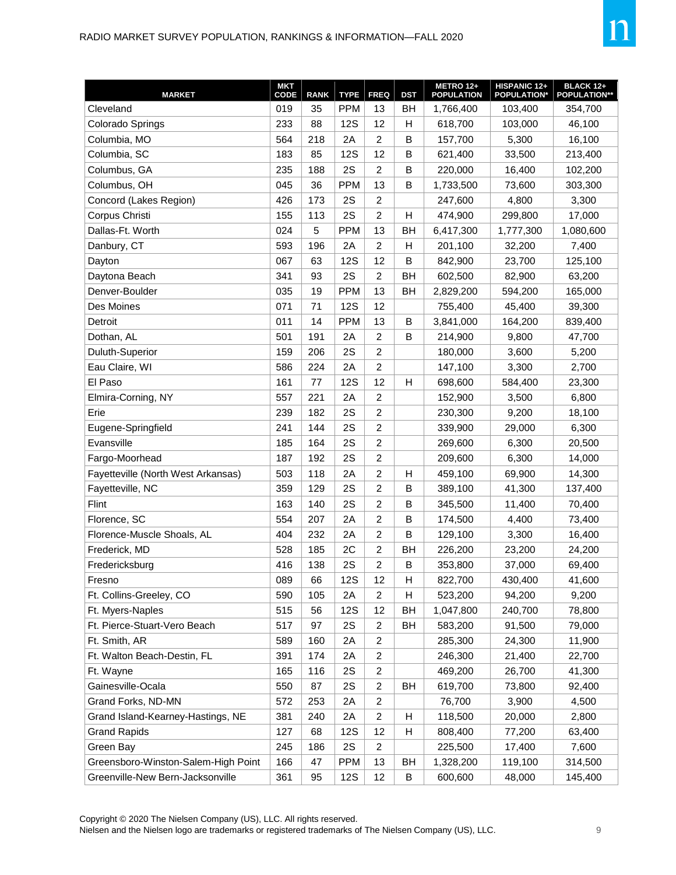| <b>MARKET</b>                       | <b>MKT</b><br>CODE | <b>RANK</b> | <b>TYPE</b> | <b>FREQ</b>      | <b>DST</b> | <b>METRO 12+</b><br><b>POPULATION</b> | <b>HISPANIC 12+</b><br><b>POPULATION*</b> | <b>BLACK 12+</b><br><b>POPULATION**</b> |
|-------------------------------------|--------------------|-------------|-------------|------------------|------------|---------------------------------------|-------------------------------------------|-----------------------------------------|
| Cleveland                           | 019                | 35          | <b>PPM</b>  | 13               | BH         | 1,766,400                             | 103,400                                   | 354,700                                 |
| Colorado Springs                    | 233                | 88          | <b>12S</b>  | 12               | Н          | 618,700                               | 103,000                                   | 46,100                                  |
| Columbia, MO                        | 564                | 218         | 2A          | $\overline{2}$   | B          | 157,700                               | 5,300                                     | 16,100                                  |
| Columbia, SC                        | 183                | 85          | <b>12S</b>  | 12               | B          | 621,400                               | 33,500                                    | 213,400                                 |
| Columbus, GA                        | 235                | 188         | 2S          | 2                | B          | 220,000                               | 16,400                                    | 102,200                                 |
| Columbus, OH                        | 045                | 36          | <b>PPM</b>  | 13               | B          | 1,733,500                             | 73,600                                    | 303,300                                 |
| Concord (Lakes Region)              | 426                | 173         | 2S          | $\overline{c}$   |            | 247,600                               | 4,800                                     | 3,300                                   |
| Corpus Christi                      | 155                | 113         | 2S          | $\overline{c}$   | Н          | 474,900                               | 299,800                                   | 17,000                                  |
| Dallas-Ft. Worth                    | 024                | 5           | <b>PPM</b>  | 13               | BH         | 6,417,300                             | 1,777,300                                 | 1,080,600                               |
| Danbury, CT                         | 593                | 196         | 2A          | $\overline{2}$   | Н          | 201,100                               | 32,200                                    | 7,400                                   |
| Dayton                              | 067                | 63          | <b>12S</b>  | 12               | B          | 842,900                               | 23,700                                    | 125,100                                 |
| Daytona Beach                       | 341                | 93          | 2S          | $\overline{c}$   | BH         | 602,500                               | 82,900                                    | 63,200                                  |
| Denver-Boulder                      | 035                | 19          | <b>PPM</b>  | 13               | BH         | 2,829,200                             | 594,200                                   | 165,000                                 |
| Des Moines                          | 071                | 71          | <b>12S</b>  | 12               |            | 755,400                               | 45,400                                    | 39,300                                  |
| Detroit                             | 011                | 14          | <b>PPM</b>  | 13               | B          | 3,841,000                             | 164,200                                   | 839,400                                 |
| Dothan, AL                          | 501                | 191         | 2A          | $\overline{2}$   | B          | 214,900                               | 9,800                                     | 47,700                                  |
| Duluth-Superior                     | 159                | 206         | 2S          | $\overline{c}$   |            | 180,000                               | 3,600                                     | 5,200                                   |
| Eau Claire, WI                      | 586                | 224         | 2A          | $\overline{c}$   |            | 147,100                               | 3,300                                     | 2,700                                   |
| El Paso                             | 161                | 77          | <b>12S</b>  | 12               | Н          | 698,600                               | 584,400                                   | 23,300                                  |
| Elmira-Corning, NY                  | 557                | 221         | 2A          | $\overline{c}$   |            | 152,900                               | 3,500                                     | 6,800                                   |
| Erie                                | 239                | 182         | 2S          | $\overline{c}$   |            | 230,300                               | 9,200                                     | 18,100                                  |
| Eugene-Springfield                  | 241                | 144         | 2S          | $\overline{2}$   |            | 339,900                               | 29,000                                    | 6,300                                   |
| Evansville                          | 185                | 164         | 2S          | $\overline{c}$   |            | 269,600                               | 6,300                                     | 20,500                                  |
| Fargo-Moorhead                      | 187                | 192         | 2S          | $\overline{c}$   |            | 209,600                               | 6,300                                     | 14,000                                  |
| Fayetteville (North West Arkansas)  | 503                | 118         | 2A          | $\overline{2}$   | Н          | 459,100                               | 69,900                                    | 14,300                                  |
| Fayetteville, NC                    | 359                | 129         | 2S          | $\overline{c}$   | B          | 389,100                               | 41,300                                    | 137,400                                 |
| Flint                               | 163                | 140         | 2S          | $\overline{c}$   | B          | 345,500                               | 11,400                                    | 70,400                                  |
| Florence, SC                        | 554                | 207         | 2A          | $\overline{2}$   | B          | 174,500                               | 4,400                                     | 73,400                                  |
| Florence-Muscle Shoals, AL          | 404                | 232         | 2A          | $\overline{2}$   | B          | 129,100                               | 3,300                                     | 16,400                                  |
| Frederick, MD                       | 528                | 185         | 2C          | $\overline{c}$   | BH         | 226,200                               | 23,200                                    | 24,200                                  |
| Fredericksburg                      | 416                | 138         | 2S          | $\overline{c}$   | B          | 353,800                               | 37,000                                    | 69,400                                  |
| Fresno                              | 089                | 66          | <b>12S</b>  | 12               | Н          | 822,700                               | 430,400                                   | 41,600                                  |
| Ft. Collins-Greeley, CO             | 590                | 105         | 2A          | $\overline{c}$   | Н          | 523,200                               | 94,200                                    | 9,200                                   |
| Ft. Myers-Naples                    | 515                | 56          | <b>12S</b>  | 12               | BH         | 1,047,800                             | 240,700                                   | 78,800                                  |
| Ft. Pierce-Stuart-Vero Beach        | 517                | 97          | 2S          | $\overline{2}$   | BH         | 583,200                               | 91,500                                    | 79,000                                  |
| Ft. Smith, AR                       | 589                | 160         | 2A          | $\overline{c}$   |            | 285,300                               | 24,300                                    | 11,900                                  |
| Ft. Walton Beach-Destin, FL         | 391                | 174         | 2A          | $\overline{c}$   |            | 246,300                               | 21,400                                    | 22,700                                  |
| Ft. Wayne                           | 165                | 116         | 2S          | $\overline{c}$   |            | 469,200                               | 26,700                                    | 41,300                                  |
| Gainesville-Ocala                   | 550                | 87          | 2S          | $\overline{c}$   | BH         | 619,700                               | 73,800                                    | 92,400                                  |
| Grand Forks, ND-MN                  | 572                | 253         | 2A          | $\overline{c}$   |            | 76,700                                | 3,900                                     | 4,500                                   |
| Grand Island-Kearney-Hastings, NE   | 381                | 240         | 2A          | $\overline{c}$   | H          | 118,500                               | 20,000                                    | 2,800                                   |
| <b>Grand Rapids</b>                 | 127                | 68          | <b>12S</b>  | 12               | Н          | 808,400                               | 77,200                                    | 63,400                                  |
| Green Bay                           | 245                | 186         | 2S          | $\boldsymbol{2}$ |            | 225,500                               | 17,400                                    | 7,600                                   |
| Greensboro-Winston-Salem-High Point | 166                | 47          | <b>PPM</b>  | 13               | ВH         | 1,328,200                             | 119,100                                   | 314,500                                 |
| Greenville-New Bern-Jacksonville    | 361                | 95          | <b>12S</b>  | 12               | B          | 600,600                               | 48,000                                    | 145,400                                 |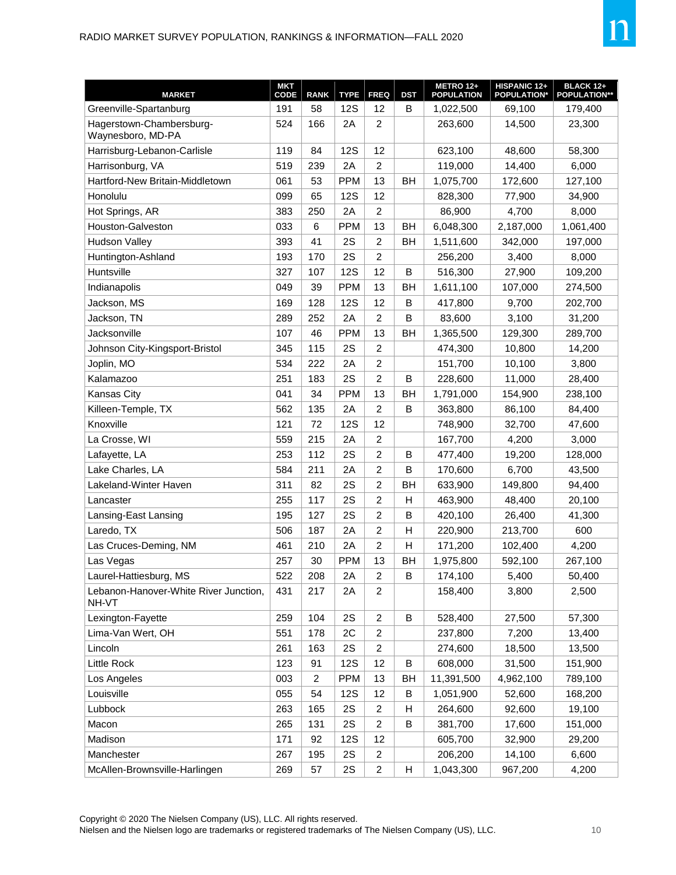

| <b>MARKET</b>                                  | MKT<br>CODE | <b>RANK</b>    | <b>TYPE</b> | <b>FREQ</b>      | <b>DST</b> | METRO 12+<br><b>POPULATION</b> | HISPANIC 12+<br><b>POPULATION*</b> | <b>BLACK 12+</b><br><b>POPULATION**</b> |
|------------------------------------------------|-------------|----------------|-------------|------------------|------------|--------------------------------|------------------------------------|-----------------------------------------|
| Greenville-Spartanburg                         | 191         | 58             | <b>12S</b>  | 12               | B          | 1,022,500                      | 69,100                             | 179,400                                 |
| Hagerstown-Chambersburg-<br>Waynesboro, MD-PA  | 524         | 166            | 2A          | 2                |            | 263,600                        | 14,500                             | 23,300                                  |
| Harrisburg-Lebanon-Carlisle                    | 119         | 84             | <b>12S</b>  | 12               |            | 623,100                        | 48,600                             | 58,300                                  |
| Harrisonburg, VA                               | 519         | 239            | 2A          | $\overline{2}$   |            | 119,000                        | 14,400                             | 6,000                                   |
| Hartford-New Britain-Middletown                | 061         | 53             | <b>PPM</b>  | 13               | <b>BH</b>  | 1,075,700                      | 172,600                            | 127,100                                 |
| Honolulu                                       | 099         | 65             | <b>12S</b>  | 12               |            | 828,300                        | 77,900                             | 34,900                                  |
| Hot Springs, AR                                | 383         | 250            | 2A          | $\overline{2}$   |            | 86,900                         | 4,700                              | 8,000                                   |
| Houston-Galveston                              | 033         | 6              | <b>PPM</b>  | 13               | BH         | 6,048,300                      | 2,187,000                          | 1,061,400                               |
| <b>Hudson Valley</b>                           | 393         | 41             | 2S          | $\overline{c}$   | BH         | 1,511,600                      | 342,000                            | 197,000                                 |
| Huntington-Ashland                             | 193         | 170            | 2S          | $\overline{c}$   |            | 256,200                        | 3,400                              | 8,000                                   |
| Huntsville                                     | 327         | 107            | <b>12S</b>  | 12               | B          | 516,300                        | 27,900                             | 109,200                                 |
| Indianapolis                                   | 049         | 39             | <b>PPM</b>  | 13               | BH         | 1,611,100                      | 107,000                            | 274,500                                 |
| Jackson, MS                                    | 169         | 128            | <b>12S</b>  | 12               | B          | 417,800                        | 9,700                              | 202,700                                 |
| Jackson, TN                                    | 289         | 252            | 2A          | 2                | B          | 83,600                         | 3,100                              | 31,200                                  |
| Jacksonville                                   | 107         | 46             | <b>PPM</b>  | 13               | <b>BH</b>  | 1,365,500                      | 129,300                            | 289,700                                 |
| Johnson City-Kingsport-Bristol                 | 345         | 115            | 2S          | $\overline{c}$   |            | 474,300                        | 10,800                             | 14,200                                  |
| Joplin, MO                                     | 534         | 222            | 2A          | $\overline{2}$   |            | 151,700                        | 10,100                             | 3,800                                   |
| Kalamazoo                                      | 251         | 183            | 2S          | $\overline{2}$   | B          | 228,600                        | 11,000                             | 28,400                                  |
| Kansas City                                    | 041         | 34             | <b>PPM</b>  | 13               | BH         | 1,791,000                      | 154,900                            | 238,100                                 |
| Killeen-Temple, TX                             | 562         | 135            | 2A          | $\overline{c}$   | B          | 363,800                        | 86,100                             | 84,400                                  |
| Knoxville                                      | 121         | 72             | <b>12S</b>  | 12               |            | 748,900                        | 32,700                             | 47,600                                  |
| La Crosse, WI                                  | 559         | 215            | 2A          | $\overline{c}$   |            | 167,700                        | 4,200                              | 3,000                                   |
| Lafayette, LA                                  | 253         | 112            | 2S          | $\overline{2}$   | B          | 477,400                        | 19,200                             | 128,000                                 |
| Lake Charles, LA                               | 584         | 211            | 2A          | $\overline{2}$   | B          | 170,600                        | 6,700                              | 43,500                                  |
| Lakeland-Winter Haven                          | 311         | 82             | 2S          | 2                | BH         | 633,900                        | 149,800                            | 94,400                                  |
| Lancaster                                      | 255         | 117            | 2S          | 2                | H          | 463,900                        | 48,400                             | 20,100                                  |
| Lansing-East Lansing                           | 195         | 127            | 2S          | $\overline{2}$   | B          | 420,100                        | 26,400                             | 41,300                                  |
| Laredo, TX                                     | 506         | 187            | 2A          | 2                | H          | 220,900                        | 213,700                            | 600                                     |
| Las Cruces-Deming, NM                          | 461         | 210            | 2A          | $\overline{c}$   | Н          | 171,200                        | 102,400                            | 4,200                                   |
| Las Vegas                                      | 257         | 30             | <b>PPM</b>  | 13               | BH         | 1,975,800                      | 592,100                            | 267,100                                 |
| Laurel-Hattiesburg, MS                         | 522         | 208            | 2A          | $\boldsymbol{2}$ | $\sf B$    | 174,100                        | 5,400                              | 50,400                                  |
| Lebanon-Hanover-White River Junction,<br>NH-VT | 431         | 217            | 2A          | $\overline{c}$   |            | 158,400                        | 3,800                              | 2,500                                   |
| Lexington-Fayette                              | 259         | 104            | 2S          | $\overline{c}$   | B          | 528,400                        | 27,500                             | 57,300                                  |
| Lima-Van Wert, OH                              | 551         | 178            | 2C          | $\overline{c}$   |            | 237,800                        | 7,200                              | 13,400                                  |
| Lincoln                                        | 261         | 163            | 2S          | $\overline{c}$   |            | 274,600                        | 18,500                             | 13,500                                  |
| Little Rock                                    | 123         | 91             | <b>12S</b>  | 12               | B          | 608,000                        | 31,500                             | 151,900                                 |
| Los Angeles                                    | 003         | $\overline{c}$ | <b>PPM</b>  | 13               | <b>BH</b>  | 11,391,500                     | 4,962,100                          | 789,100                                 |
| Louisville                                     | 055         | 54             | <b>12S</b>  | 12               | B          | 1,051,900                      | 52,600                             | 168,200                                 |
| Lubbock                                        | 263         | 165            | 2S          | $\boldsymbol{2}$ | Н          | 264,600                        | 92,600                             | 19,100                                  |
| Macon                                          | 265         | 131            | 2S          | $\overline{c}$   | B          | 381,700                        | 17,600                             | 151,000                                 |
| Madison                                        | 171         | 92             | <b>12S</b>  | 12               |            | 605,700                        | 32,900                             | 29,200                                  |
| Manchester                                     | 267         | 195            | 2S          | $\overline{c}$   |            | 206,200                        | 14,100                             | 6,600                                   |
| McAllen-Brownsville-Harlingen                  | 269         | 57             | 2S          | $\overline{c}$   | н          | 1,043,300                      | 967,200                            | 4,200                                   |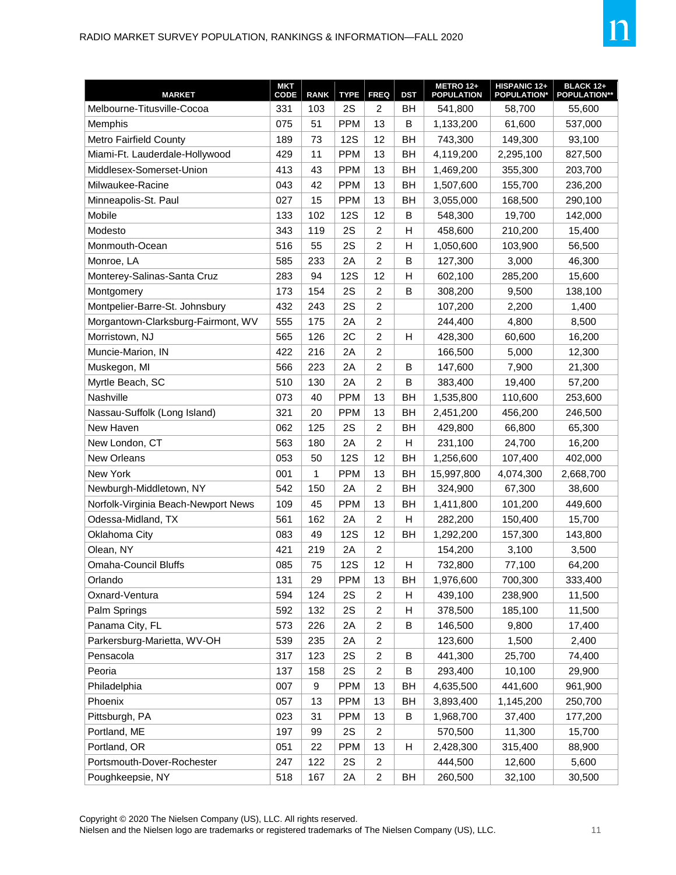| <b>MARKET</b>                       | <b>MKT</b><br>CODE | <b>RANK</b> | <b>TYPE</b> | <b>FREQ</b>      | <b>DST</b> | <b>METRO 12+</b><br><b>POPULATION</b> | HISPANIC 12+<br><b>POPULATION*</b> | <b>BLACK 12+</b><br><b>POPULATION**</b> |
|-------------------------------------|--------------------|-------------|-------------|------------------|------------|---------------------------------------|------------------------------------|-----------------------------------------|
| Melbourne-Titusville-Cocoa          | 331                | 103         | 2S          | $\overline{2}$   | <b>BH</b>  | 541,800                               | 58,700                             | 55,600                                  |
| Memphis                             | 075                | 51          | <b>PPM</b>  | 13               | B          | 1,133,200                             | 61,600                             | 537,000                                 |
| <b>Metro Fairfield County</b>       | 189                | 73          | <b>12S</b>  | 12               | BH         | 743,300                               | 149,300                            | 93,100                                  |
| Miami-Ft. Lauderdale-Hollywood      | 429                | 11          | <b>PPM</b>  | 13               | <b>BH</b>  | 4,119,200                             | 2,295,100                          | 827,500                                 |
| Middlesex-Somerset-Union            | 413                | 43          | <b>PPM</b>  | 13               | BH         | 1,469,200                             | 355,300                            | 203,700                                 |
| Milwaukee-Racine                    | 043                | 42          | <b>PPM</b>  | 13               | BH         | 1,507,600                             | 155,700                            | 236,200                                 |
| Minneapolis-St. Paul                | 027                | 15          | <b>PPM</b>  | 13               | BН         | 3,055,000                             | 168,500                            | 290,100                                 |
| Mobile                              | 133                | 102         | <b>12S</b>  | 12               | B          | 548,300                               | 19,700                             | 142,000                                 |
| Modesto                             | 343                | 119         | 2S          | $\overline{2}$   | н          | 458,600                               | 210,200                            | 15,400                                  |
| Monmouth-Ocean                      | 516                | 55          | 2S          | $\overline{c}$   | Н          | 1,050,600                             | 103,900                            | 56,500                                  |
| Monroe, LA                          | 585                | 233         | 2A          | $\overline{c}$   | B          | 127,300                               | 3,000                              | 46,300                                  |
| Monterey-Salinas-Santa Cruz         | 283                | 94          | <b>12S</b>  | 12               | H          | 602,100                               | 285,200                            | 15,600                                  |
| Montgomery                          | 173                | 154         | 2S          | $\overline{c}$   | B          | 308,200                               | 9,500                              | 138,100                                 |
| Montpelier-Barre-St. Johnsbury      | 432                | 243         | 2S          | $\overline{c}$   |            | 107,200                               | 2,200                              | 1,400                                   |
| Morgantown-Clarksburg-Fairmont, WV  | 555                | 175         | 2A          | $\overline{c}$   |            | 244,400                               | 4,800                              | 8,500                                   |
| Morristown, NJ                      | 565                | 126         | 2C          | $\overline{c}$   | H          | 428,300                               | 60,600                             | 16,200                                  |
| Muncie-Marion, IN                   | 422                | 216         | 2Α          | $\overline{c}$   |            | 166,500                               | 5,000                              | 12,300                                  |
| Muskegon, MI                        | 566                | 223         | 2A          | $\overline{2}$   | B          | 147,600                               | 7,900                              | 21,300                                  |
| Myrtle Beach, SC                    | 510                | 130         | 2A          | $\overline{2}$   | B          | 383,400                               | 19,400                             | 57,200                                  |
| Nashville                           | 073                | 40          | <b>PPM</b>  | 13               | BH         | 1,535,800                             | 110,600                            | 253,600                                 |
| Nassau-Suffolk (Long Island)        | 321                | 20          | <b>PPM</b>  | 13               | BH         | 2,451,200                             | 456,200                            | 246,500                                 |
| New Haven                           | 062                | 125         | 2S          | $\overline{2}$   | BH         | 429,800                               | 66,800                             | 65,300                                  |
| New London, CT                      | 563                | 180         | 2A          | $\overline{2}$   | Н          | 231,100                               | 24,700                             | 16,200                                  |
| New Orleans                         | 053                | 50          | <b>12S</b>  | 12               | BН         | 1,256,600                             | 107,400                            | 402,000                                 |
| New York                            | 001                | 1           | <b>PPM</b>  | 13               | BH         | 15,997,800                            | 4,074,300                          | 2,668,700                               |
| Newburgh-Middletown, NY             | 542                | 150         | 2A          | $\overline{2}$   | <b>BH</b>  | 324,900                               | 67,300                             | 38,600                                  |
| Norfolk-Virginia Beach-Newport News | 109                | 45          | <b>PPM</b>  | 13               | BН         | 1,411,800                             | 101,200                            | 449,600                                 |
| Odessa-Midland, TX                  | 561                | 162         | 2A          | $\overline{c}$   | H          | 282,200                               | 150,400                            | 15,700                                  |
| Oklahoma City                       | 083                | 49          | <b>12S</b>  | 12               | BH         | 1,292,200                             | 157,300                            | 143,800                                 |
| Olean, NY                           | 421                | 219         | 2A          | $\overline{c}$   |            | 154,200                               | 3,100                              | 3,500                                   |
| <b>Omaha-Council Bluffs</b>         | 085                | 75          | <b>12S</b>  | 12               | Н          | 732,800                               | 77,100                             | 64,200                                  |
| Orlando                             | 131                | 29          | <b>PPM</b>  | 13               | ВH         | 1,976,600                             | 700,300                            | 333,400                                 |
| Oxnard-Ventura                      | 594                | 124         | 2S          | $\overline{c}$   | Н          | 439,100                               | 238,900                            | 11,500                                  |
| Palm Springs                        | 592                | 132         | 2S          | $\boldsymbol{2}$ | Н          | 378,500                               | 185,100                            | 11,500                                  |
| Panama City, FL                     | 573                | 226         | 2A          | $\overline{c}$   | B          | 146,500                               | 9,800                              | 17,400                                  |
| Parkersburg-Marietta, WV-OH         | 539                | 235         | 2A          | $\overline{c}$   |            | 123,600                               | 1,500                              | 2,400                                   |
| Pensacola                           | 317                | 123         | 2S          | $\boldsymbol{2}$ | B          | 441,300                               | 25,700                             | 74,400                                  |
| Peoria                              | 137                | 158         | 2S          | $\overline{c}$   | B          | 293,400                               | 10,100                             | 29,900                                  |
| Philadelphia                        | 007                | 9           | <b>PPM</b>  | 13               | BH         | 4,635,500                             | 441,600                            | 961,900                                 |
| Phoenix                             | 057                | 13          | <b>PPM</b>  | 13               | BH         | 3,893,400                             | 1,145,200                          | 250,700                                 |
| Pittsburgh, PA                      | 023                | 31          | <b>PPM</b>  | 13               | В          | 1,968,700                             | 37,400                             | 177,200                                 |
| Portland, ME                        | 197                | 99          | 2S          | $\overline{c}$   |            | 570,500                               | 11,300                             | 15,700                                  |
| Portland, OR                        | 051                | 22          | <b>PPM</b>  | 13               | Н          | 2,428,300                             | 315,400                            | 88,900                                  |
| Portsmouth-Dover-Rochester          | 247                | 122         | 2S          | $\boldsymbol{2}$ |            | 444,500                               | 12,600                             | 5,600                                   |
| Poughkeepsie, NY                    | 518                | 167         | 2A          | $\overline{c}$   | BH         | 260,500                               | 32,100                             | 30,500                                  |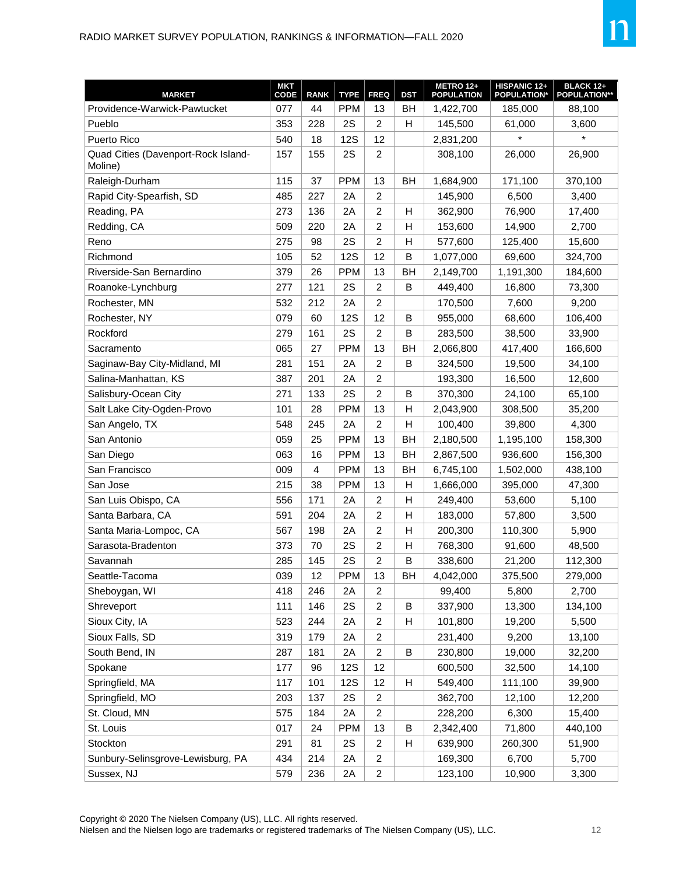| <b>MARKET</b>                                  | <b>MKT</b><br>CODE | <b>RANK</b> | <b>TYPE</b> | <b>FREQ</b>             | <b>DST</b> | <b>METRO 12+</b><br><b>POPULATION</b> | HISPANIC 12+<br><b>POPULATION*</b> | <b>BLACK 12+</b><br><b>POPULATION**</b> |
|------------------------------------------------|--------------------|-------------|-------------|-------------------------|------------|---------------------------------------|------------------------------------|-----------------------------------------|
| Providence-Warwick-Pawtucket                   | 077                | 44          | <b>PPM</b>  | 13                      | <b>BH</b>  | 1,422,700                             | 185,000                            | 88,100                                  |
| Pueblo                                         | 353                | 228         | 2S          | 2                       | н          | 145,500                               | 61,000                             | 3,600                                   |
| Puerto Rico                                    | 540                | 18          | <b>12S</b>  | 12                      |            | 2,831,200                             | $\star$                            | $\star$                                 |
| Quad Cities (Davenport-Rock Island-<br>Moline) | 157                | 155         | 2S          | $\overline{2}$          |            | 308,100                               | 26,000                             | 26,900                                  |
| Raleigh-Durham                                 | 115                | 37          | <b>PPM</b>  | 13                      | BH         | 1,684,900                             | 171,100                            | 370,100                                 |
| Rapid City-Spearfish, SD                       | 485                | 227         | 2A          | $\overline{2}$          |            | 145,900                               | 6,500                              | 3,400                                   |
| Reading, PA                                    | 273                | 136         | 2A          | 2                       | H          | 362,900                               | 76,900                             | 17,400                                  |
| Redding, CA                                    | 509                | 220         | 2A          | 2                       | Н          | 153,600                               | 14,900                             | 2,700                                   |
| Reno                                           | 275                | 98          | 2S          | $\overline{2}$          | H          | 577,600                               | 125,400                            | 15,600                                  |
| Richmond                                       | 105                | 52          | <b>12S</b>  | 12                      | B          | 1,077,000                             | 69,600                             | 324,700                                 |
| Riverside-San Bernardino                       | 379                | 26          | <b>PPM</b>  | 13                      | BH         | 2,149,700                             | 1,191,300                          | 184,600                                 |
| Roanoke-Lynchburg                              | 277                | 121         | 2S          | $\overline{2}$          | B          | 449,400                               | 16,800                             | 73,300                                  |
| Rochester, MN                                  | 532                | 212         | 2A          | $\overline{2}$          |            | 170,500                               | 7.600                              | 9,200                                   |
| Rochester, NY                                  | 079                | 60          | <b>12S</b>  | 12                      | B          | 955,000                               | 68,600                             | 106,400                                 |
| Rockford                                       | 279                | 161         | 2S          | $\overline{2}$          | B          | 283,500                               | 38,500                             | 33,900                                  |
| Sacramento                                     | 065                | 27          | <b>PPM</b>  | 13                      | <b>BH</b>  | 2,066,800                             | 417,400                            | 166,600                                 |
| Saginaw-Bay City-Midland, MI                   | 281                | 151         | 2A          | $\overline{2}$          | B          | 324,500                               | 19,500                             | 34,100                                  |
| Salina-Manhattan, KS                           | 387                | 201         | 2Α          | $\overline{2}$          |            | 193,300                               | 16,500                             | 12.600                                  |
| Salisbury-Ocean City                           | 271                | 133         | 2S          | $\overline{2}$          | B          | 370,300                               | 24,100                             | 65,100                                  |
| Salt Lake City-Ogden-Provo                     | 101                | 28          | <b>PPM</b>  | 13                      | H          | 2,043,900                             | 308,500                            | 35,200                                  |
| San Angelo, TX                                 | 548                | 245         | 2A          | $\overline{2}$          | Н          | 100,400                               | 39,800                             | 4,300                                   |
| San Antonio                                    | 059                | 25          | <b>PPM</b>  | 13                      | BH         | 2,180,500                             | 1,195,100                          | 158,300                                 |
| San Diego                                      | 063                | 16          | <b>PPM</b>  | 13                      | <b>BH</b>  | 2,867,500                             | 936,600                            | 156,300                                 |
| San Francisco                                  | 009                | 4           | <b>PPM</b>  | 13                      | BH         | 6,745,100                             | 1,502,000                          | 438,100                                 |
| San Jose                                       | 215                | 38          | <b>PPM</b>  | 13                      | Н          | 1,666,000                             | 395,000                            | 47,300                                  |
| San Luis Obispo, CA                            | 556                | 171         | 2A          | 2                       | Н          | 249,400                               | 53,600                             | 5,100                                   |
| Santa Barbara, CA                              | 591                | 204         | 2A          | 2                       | H          | 183,000                               | 57,800                             | 3,500                                   |
| Santa Maria-Lompoc, CA                         | 567                | 198         | 2A          | 2                       | Н          | 200,300                               | 110,300                            | 5,900                                   |
| Sarasota-Bradenton                             | 373                | 70          | 2S          | 2                       | H          | 768,300                               | 91,600                             | 48,500                                  |
| Savannah                                       | 285                | 145         | 2S          | 2                       | B          | 338,600                               | 21,200                             | 112,300                                 |
| Seattle-Tacoma                                 | 039                | 12          | <b>PPM</b>  | 13                      | BH         | 4,042,000                             | 375,500                            | 279,000                                 |
| Sheboygan, WI                                  | 418                | 246         | 2A          | $\overline{2}$          |            | 99,400                                | 5,800                              | 2,700                                   |
| Shreveport                                     | 111                | 146         | 2S          | $\overline{c}$          | B          | 337,900                               | 13,300                             | 134,100                                 |
| Sioux City, IA                                 | 523                | 244         | 2A          | $\overline{c}$          | Н          | 101,800                               | 19,200                             | 5,500                                   |
| Sioux Falls, SD                                | 319                | 179         | 2A          | $\overline{2}$          |            | 231,400                               | 9,200                              | 13,100                                  |
| South Bend, IN                                 | 287                | 181         | 2A          | $\overline{c}$          | B          | 230,800                               | 19,000                             | 32,200                                  |
| Spokane                                        | 177                | 96          | <b>12S</b>  | 12                      |            | 600,500                               | 32,500                             | 14,100                                  |
| Springfield, MA                                | 117                | 101         | 12S         | 12                      | н          | 549,400                               | 111,100                            | 39,900                                  |
| Springfield, MO                                | 203                | 137         | 2S          | $\overline{\mathbf{c}}$ |            | 362,700                               | 12,100                             | 12,200                                  |
| St. Cloud, MN                                  | 575                | 184         | 2A          | $\overline{c}$          |            | 228,200                               | 6,300                              | 15,400                                  |
| St. Louis                                      | 017                | 24          | <b>PPM</b>  | 13                      | B          | 2,342,400                             | 71,800                             | 440,100                                 |
| Stockton                                       | 291                | 81          | 2S          | $\overline{2}$          | н          | 639,900                               | 260,300                            | 51,900                                  |
| Sunbury-Selinsgrove-Lewisburg, PA              | 434                | 214         | 2A          | $\overline{c}$          |            | 169,300                               | 6,700                              | 5,700                                   |
| Sussex, NJ                                     | 579                | 236         | 2A          | $\overline{c}$          |            | 123,100                               | 10,900                             | 3,300                                   |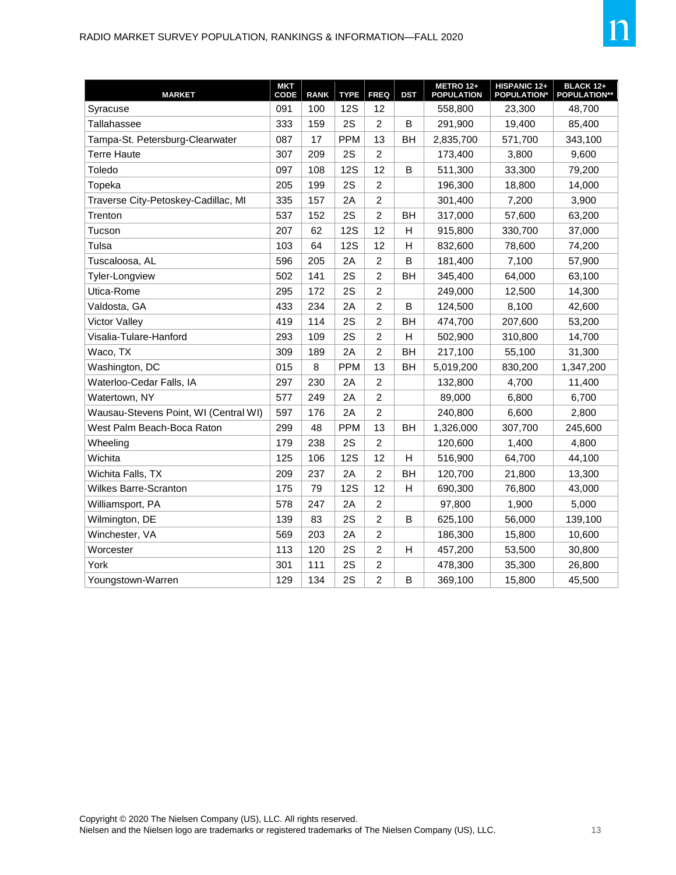

| <b>MARKET</b>                         | <b>MKT</b><br><b>CODE</b> | <b>RANK</b> | <b>TYPE</b> | <b>FREQ</b>    | <b>DST</b> | METRO 12+<br><b>POPULATION</b> | HISPANIC 12+<br><b>POPULATION*</b> | <b>BLACK 12+</b><br><b>POPULATION**</b> |
|---------------------------------------|---------------------------|-------------|-------------|----------------|------------|--------------------------------|------------------------------------|-----------------------------------------|
| Syracuse                              | 091                       | 100         | <b>12S</b>  | 12             |            | 558,800                        | 23,300                             | 48,700                                  |
| Tallahassee                           | 333                       | 159         | 2S          | $\overline{2}$ | B          | 291,900                        | 19,400                             | 85,400                                  |
| Tampa-St. Petersburg-Clearwater       | 087                       | 17          | <b>PPM</b>  | 13             | BH         | 2,835,700                      | 571,700                            | 343,100                                 |
| <b>Terre Haute</b>                    | 307                       | 209         | 2S          | $\overline{2}$ |            | 173,400                        | 3,800                              | 9,600                                   |
| Toledo                                | 097                       | 108         | <b>12S</b>  | 12             | B          | 511,300                        | 33,300                             | 79,200                                  |
| Topeka                                | 205                       | 199         | 2S          | $\overline{2}$ |            | 196,300                        | 18,800                             | 14,000                                  |
| Traverse City-Petoskey-Cadillac, MI   | 335                       | 157         | 2A          | $\overline{2}$ |            | 301,400                        | 7,200                              | 3,900                                   |
| Trenton                               | 537                       | 152         | 2S          | $\overline{2}$ | BH         | 317,000                        | 57,600                             | 63,200                                  |
| Tucson                                | 207                       | 62          | <b>12S</b>  | 12             | H          | 915,800                        | 330,700                            | 37,000                                  |
| Tulsa                                 | 103                       | 64          | <b>12S</b>  | 12             | Н          | 832,600                        | 78,600                             | 74,200                                  |
| Tuscaloosa, AL                        | 596                       | 205         | 2A          | $\overline{c}$ | B          | 181,400                        | 7,100                              | 57,900                                  |
| <b>Tyler-Longview</b>                 | 502                       | 141         | 2S          | $\overline{c}$ | BH         | 345,400                        | 64,000                             | 63,100                                  |
| Utica-Rome                            | 295                       | 172         | 2S          | $\overline{2}$ |            | 249,000                        | 12,500                             | 14,300                                  |
| Valdosta, GA                          | 433                       | 234         | 2A          | $\overline{2}$ | В          | 124,500                        | 8,100                              | 42,600                                  |
| <b>Victor Valley</b>                  | 419                       | 114         | 2S          | $\overline{2}$ | BН         | 474,700                        | 207,600                            | 53,200                                  |
| Visalia-Tulare-Hanford                | 293                       | 109         | 2S          | $\overline{2}$ | H          | 502,900                        | 310,800                            | 14,700                                  |
| Waco, TX                              | 309                       | 189         | 2A          | $\overline{2}$ | <b>BH</b>  | 217,100                        | 55,100                             | 31,300                                  |
| Washington, DC                        | 015                       | 8           | <b>PPM</b>  | 13             | <b>BH</b>  | 5,019,200                      | 830,200                            | 1,347,200                               |
| Waterloo-Cedar Falls, IA              | 297                       | 230         | 2A          | $\overline{c}$ |            | 132,800                        | 4,700                              | 11,400                                  |
| Watertown, NY                         | 577                       | 249         | 2A          | $\overline{2}$ |            | 89,000                         | 6,800                              | 6,700                                   |
| Wausau-Stevens Point, WI (Central WI) | 597                       | 176         | 2A          | $\overline{2}$ |            | 240,800                        | 6,600                              | 2,800                                   |
| West Palm Beach-Boca Raton            | 299                       | 48          | <b>PPM</b>  | 13             | <b>BH</b>  | 1,326,000                      | 307,700                            | 245,600                                 |
| Wheeling                              | 179                       | 238         | 2S          | $\overline{2}$ |            | 120,600                        | 1,400                              | 4,800                                   |
| Wichita                               | 125                       | 106         | <b>12S</b>  | 12             | н          | 516,900                        | 64,700                             | 44,100                                  |
| Wichita Falls, TX                     | 209                       | 237         | 2A          | $\overline{2}$ | BH         | 120,700                        | 21,800                             | 13,300                                  |
| Wilkes Barre-Scranton                 | 175                       | 79          | <b>12S</b>  | 12             | H          | 690,300                        | 76,800                             | 43,000                                  |
| Williamsport, PA                      | 578                       | 247         | 2A          | $\overline{c}$ |            | 97,800                         | 1,900                              | 5,000                                   |
| Wilmington, DE                        | 139                       | 83          | 2S          | $\overline{2}$ | B          | 625,100                        | 56,000                             | 139,100                                 |
| Winchester, VA                        | 569                       | 203         | 2A          | $\overline{c}$ |            | 186,300                        | 15,800                             | 10,600                                  |
| Worcester                             | 113                       | 120         | 2S          | $\overline{c}$ | H          | 457,200                        | 53,500                             | 30,800                                  |
| York                                  | 301                       | 111         | 2S          | $\overline{c}$ |            | 478,300                        | 35,300                             | 26,800                                  |
| Youngstown-Warren                     | 129                       | 134         | 2S          | $\overline{2}$ | B          | 369,100                        | 15,800                             | 45,500                                  |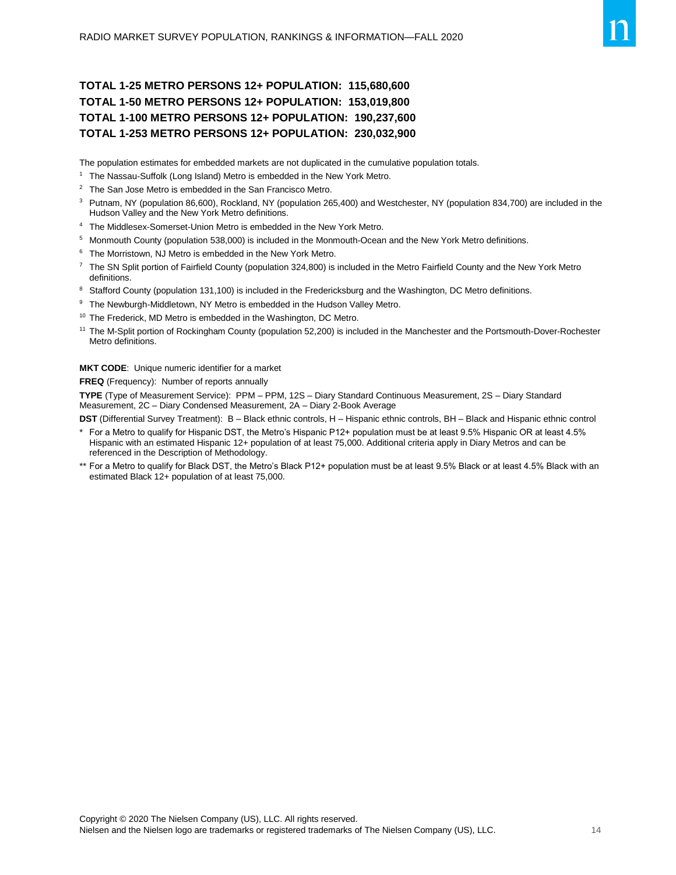#### **TOTAL 1-25 METRO PERSONS 12+ POPULATION: 115,680,600 TOTAL 1-50 METRO PERSONS 12+ POPULATION: 153,019,800 TOTAL 1-100 METRO PERSONS 12+ POPULATION: 190,237,600 TOTAL 1-253 METRO PERSONS 12+ POPULATION: 230,032,900**

The population estimates for embedded markets are not duplicated in the cumulative population totals.

- <sup>1</sup> The Nassau-Suffolk (Long Island) Metro is embedded in the New York Metro.
- <sup>2</sup> The San Jose Metro is embedded in the San Francisco Metro.
- <sup>3</sup> Putnam, NY (population 86,600), Rockland, NY (population 265,400) and Westchester, NY (population 834,700) are included in the Hudson Valley and the New York Metro definitions.
- <sup>4</sup> The Middlesex-Somerset-Union Metro is embedded in the New York Metro.
- <sup>5</sup> Monmouth County (population 538,000) is included in the Monmouth-Ocean and the New York Metro definitions.
- <sup>6</sup> The Morristown, NJ Metro is embedded in the New York Metro.
- <sup>7</sup> The SN Split portion of Fairfield County (population 324,800) is included in the Metro Fairfield County and the New York Metro definitions.
- 8 Stafford County (population 131,100) is included in the Fredericksburg and the Washington, DC Metro definitions.
- <sup>9</sup> The Newburgh-Middletown, NY Metro is embedded in the Hudson Valley Metro.
- <sup>10</sup> The Frederick, MD Metro is embedded in the Washington, DC Metro.
- <sup>11</sup> The M-Split portion of Rockingham County (population 52,200) is included in the Manchester and the Portsmouth-Dover-Rochester Metro definitions.

**MKT CODE**: Unique numeric identifier for a market

**FREQ** (Frequency): Number of reports annually

**TYPE** (Type of Measurement Service): PPM – PPM, 12S – Diary Standard Continuous Measurement, 2S – Diary Standard Measurement, 2C – Diary Condensed Measurement, 2A – Diary 2-Book Average

**DST** (Differential Survey Treatment): B – Black ethnic controls, H – Hispanic ethnic controls, BH – Black and Hispanic ethnic control

- For a Metro to qualify for Hispanic DST, the Metro's Hispanic P12+ population must be at least 9.5% Hispanic OR at least 4.5% Hispanic with an estimated Hispanic 12+ population of at least 75,000. Additional criteria apply in Diary Metros and can be referenced in the Description of Methodology.
- \*\* For a Metro to qualify for Black DST, the Metro's Black P12+ population must be at least 9.5% Black or at least 4.5% Black with an estimated Black 12+ population of at least 75,000.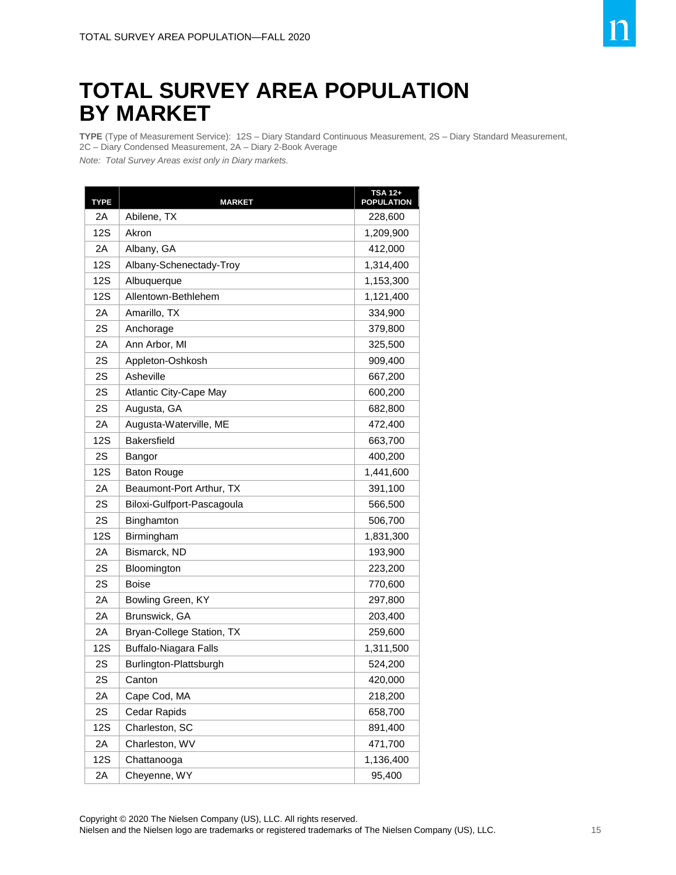## **TOTAL SURVEY AREA POPULATION BY MARKET**

**TYPE** (Type of Measurement Service): 12S – Diary Standard Continuous Measurement, 2S – Diary Standard Measurement, 2C – Diary Condensed Measurement, 2A – Diary 2-Book Average

*Note: Total Survey Areas exist only in Diary markets.*

| <b>TYPE</b> | <b>MARKET</b>                | <b>TSA 12+</b><br><b>POPULATION</b> |
|-------------|------------------------------|-------------------------------------|
| 2Α          | Abilene, TX                  | 228,600                             |
| 12S         | Akron                        | 1,209,900                           |
| 2Α          | Albany, GA                   | 412,000                             |
| <b>12S</b>  | Albany-Schenectady-Troy      | 1,314,400                           |
| 12S         | Albuquerque                  | 1,153,300                           |
| <b>12S</b>  | Allentown-Bethlehem          | 1,121,400                           |
| 2A          | Amarillo, TX                 | 334,900                             |
| 2S          | Anchorage                    | 379,800                             |
| 2Α          | Ann Arbor, MI                | 325,500                             |
| 2S          | Appleton-Oshkosh             | 909,400                             |
| 2S          | Asheville                    | 667,200                             |
| 2S          | Atlantic City-Cape May       | 600,200                             |
| 2S          | Augusta, GA                  | 682,800                             |
| 2Α          | Augusta-Waterville, ME       | 472,400                             |
| <b>12S</b>  | <b>Bakersfield</b>           | 663,700                             |
| 2S          | Bangor                       | 400,200                             |
| <b>12S</b>  | <b>Baton Rouge</b>           | 1,441,600                           |
| 2A          | Beaumont-Port Arthur, TX     | 391,100                             |
| 2S          | Biloxi-Gulfport-Pascagoula   | 566,500                             |
| 2S          | Binghamton                   | 506,700                             |
| 12S         | Birmingham                   | 1,831,300                           |
| 2Α          | Bismarck, ND                 | 193,900                             |
| 2S          | Bloomington                  | 223,200                             |
| 2S          | <b>Boise</b>                 | 770,600                             |
| 2Α          | Bowling Green, KY            | 297,800                             |
| 2Α          | Brunswick, GA                | 203,400                             |
| 2Α          | Bryan-College Station, TX    | 259,600                             |
| <b>12S</b>  | <b>Buffalo-Niagara Falls</b> | 1,311,500                           |
| 2S          | Burlington-Plattsburgh       | 524,200                             |
| 2S          | Canton                       | 420,000                             |
| 2Α          | Cape Cod, MA                 | 218,200                             |
| 2S          | Cedar Rapids                 | 658,700                             |
| 12S         | Charleston, SC               | 891,400                             |
| 2A          | Charleston, WV               | 471,700                             |
| 12S         | Chattanooga                  | 1,136,400                           |
| 2A          | Cheyenne, WY                 | 95,400                              |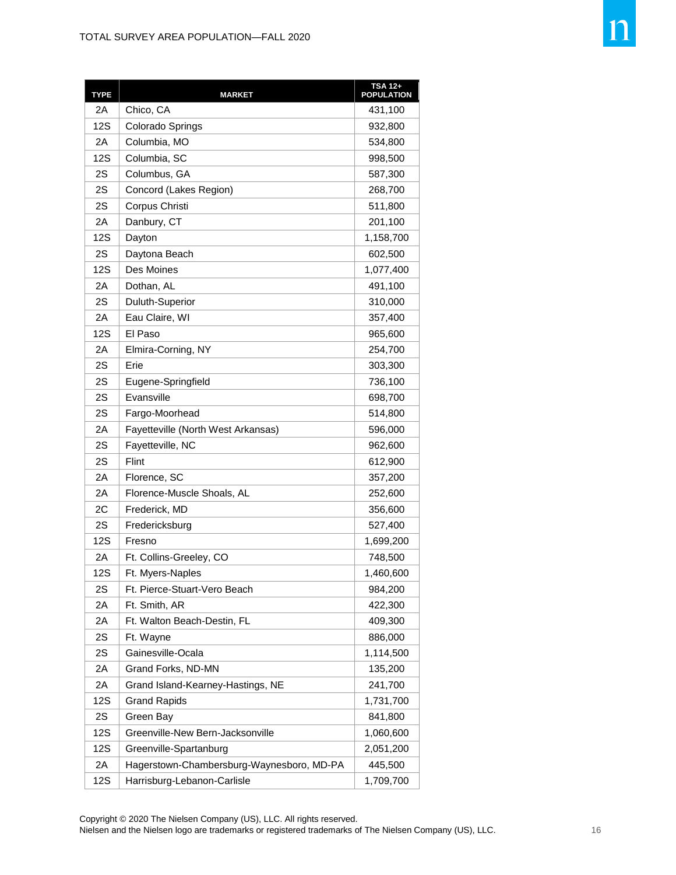| <b>TYPE</b> | <b>MARKET</b>                             | TSA 12+<br><b>POPULATION</b> |
|-------------|-------------------------------------------|------------------------------|
| 2A          | Chico, CA                                 | 431,100                      |
| 12S         | Colorado Springs                          | 932,800                      |
| 2A          | Columbia, MO                              | 534,800                      |
| 12S         | Columbia, SC                              | 998,500                      |
| 2S          | Columbus, GA                              | 587,300                      |
| 2S          | Concord (Lakes Region)                    | 268,700                      |
| 2S          | Corpus Christi                            | 511,800                      |
| 2Α          | Danbury, CT                               | 201,100                      |
| 12S         | Dayton                                    | 1,158,700                    |
| 2S          | Daytona Beach                             | 602,500                      |
| 12S         | Des Moines                                | 1,077,400                    |
| 2A          | Dothan, AL                                | 491,100                      |
| 2S          | Duluth-Superior                           | 310,000                      |
| 2Α          | Eau Claire, WI                            | 357,400                      |
| 12S         | El Paso                                   | 965,600                      |
| 2Α          | Elmira-Corning, NY                        | 254,700                      |
| 2S          | Erie                                      | 303,300                      |
| 2S          | Eugene-Springfield                        | 736,100                      |
| 2S          | Evansville                                | 698,700                      |
| 2S          | Fargo-Moorhead                            | 514,800                      |
| 2Α          | Fayetteville (North West Arkansas)        | 596,000                      |
| 2S          | Fayetteville, NC                          | 962,600                      |
| 2S          | Flint                                     | 612,900                      |
| 2Α          | Florence, SC                              | 357,200                      |
| 2Α          | Florence-Muscle Shoals, AL                | 252,600                      |
| 2C          | Frederick, MD                             | 356,600                      |
| 2S          | Fredericksburg                            | 527,400                      |
| 12S         | Fresno                                    | 1,699,200                    |
| 2Α          | Ft. Collins-Greeley, CO                   | 748,500                      |
| 12S         | Ft. Myers-Naples                          | 1,460,600                    |
| 2S          | Ft. Pierce-Stuart-Vero Beach              | 984,200                      |
| 2A          | Ft. Smith, AR                             | 422,300                      |
| 2Α          | Ft. Walton Beach-Destin, FL               | 409,300                      |
| 2S          | Ft. Wayne                                 | 886,000                      |
| 2S          | Gainesville-Ocala                         | 1,114,500                    |
| 2A          | Grand Forks, ND-MN                        | 135,200                      |
| 2A          | Grand Island-Kearney-Hastings, NE         | 241,700                      |
| 12S         | <b>Grand Rapids</b>                       | 1,731,700                    |
| 2S          | Green Bay                                 | 841,800                      |
| 12S         | Greenville-New Bern-Jacksonville          | 1,060,600                    |
| 12S         | Greenville-Spartanburg                    | 2,051,200                    |
| 2A          | Hagerstown-Chambersburg-Waynesboro, MD-PA | 445,500                      |
| 12S         | Harrisburg-Lebanon-Carlisle               | 1,709,700                    |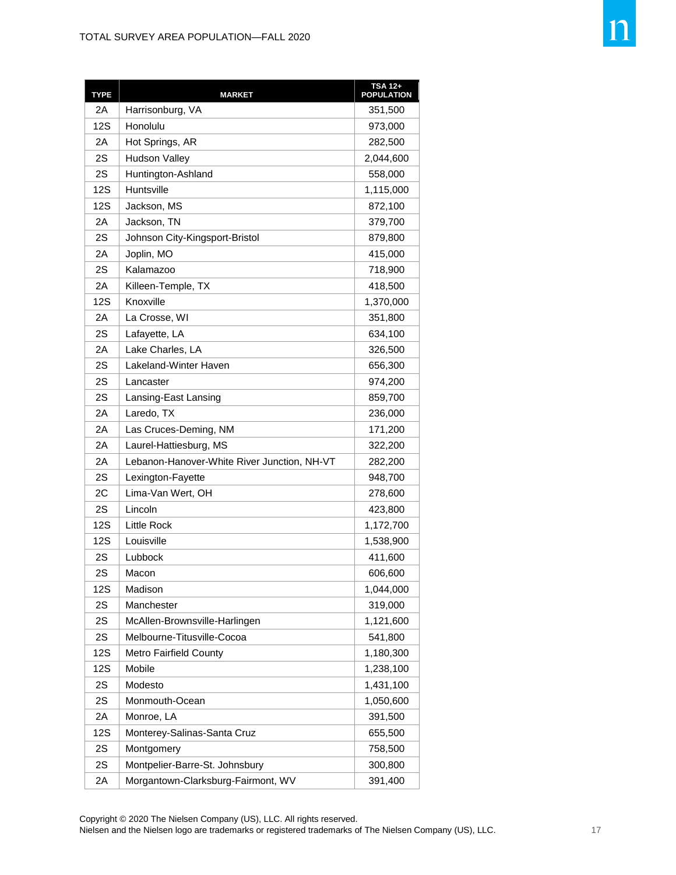| <b>TYPE</b> | <b>MARKET</b>                               | <b>TSA 12+</b><br><b>POPULATION</b> |
|-------------|---------------------------------------------|-------------------------------------|
| 2Α          | Harrisonburg, VA                            | 351,500                             |
| 12S         | Honolulu                                    | 973,000                             |
| 2Α          | Hot Springs, AR                             | 282,500                             |
| 2S          | <b>Hudson Valley</b>                        | 2,044,600                           |
| 2S          | Huntington-Ashland                          | 558,000                             |
| <b>12S</b>  | Huntsville                                  | 1,115,000                           |
| 12S         | Jackson, MS                                 | 872,100                             |
| 2Α          | Jackson, TN                                 | 379,700                             |
| 2S          | Johnson City-Kingsport-Bristol              | 879,800                             |
| 2Α          | Joplin, MO                                  | 415,000                             |
| 2S          | Kalamazoo                                   | 718,900                             |
| 2Α          | Killeen-Temple, TX                          | 418,500                             |
| 12S         | Knoxville                                   | 1,370,000                           |
| 2Α          | La Crosse, WI                               | 351,800                             |
| 2S          | Lafayette, LA                               | 634,100                             |
| 2A          | Lake Charles, LA                            | 326,500                             |
| 2S          | Lakeland-Winter Haven                       | 656,300                             |
| 2S          | Lancaster                                   | 974,200                             |
| 2S          | Lansing-East Lansing                        | 859,700                             |
| 2Α          | Laredo, TX                                  | 236,000                             |
| 2Α          | Las Cruces-Deming, NM                       | 171,200                             |
| 2Α          | Laurel-Hattiesburg, MS                      | 322,200                             |
| 2Α          | Lebanon-Hanover-White River Junction, NH-VT | 282,200                             |
| 2S          | Lexington-Fayette                           | 948,700                             |
| 2С          | Lima-Van Wert, OH                           | 278,600                             |
| 2S          | Lincoln                                     | 423,800                             |
| <b>12S</b>  | <b>Little Rock</b>                          | 1,172,700                           |
| 12S         | Louisville                                  | 1,538,900                           |
| 2S          | Lubbock                                     | 411,600                             |
| 2S          | Macon                                       | 606,600                             |
| 12S         | Madison                                     | 1,044,000                           |
| 2S          | Manchester                                  | 319,000                             |
| 2S          | McAllen-Brownsville-Harlingen               | 1,121,600                           |
| 2S          | Melbourne-Titusville-Cocoa                  | 541,800                             |
| <b>12S</b>  | Metro Fairfield County                      | 1,180,300                           |
| 12S         | Mobile                                      | 1,238,100                           |
| 2S          | Modesto                                     | 1,431,100                           |
| 2S          | Monmouth-Ocean                              | 1,050,600                           |
| 2A          | Monroe, LA                                  | 391,500                             |
| <b>12S</b>  | Monterey-Salinas-Santa Cruz                 | 655,500                             |
| 2S          | Montgomery                                  | 758,500                             |
| 2S          | Montpelier-Barre-St. Johnsbury              | 300,800                             |
| 2A          | Morgantown-Clarksburg-Fairmont, WV          | 391,400                             |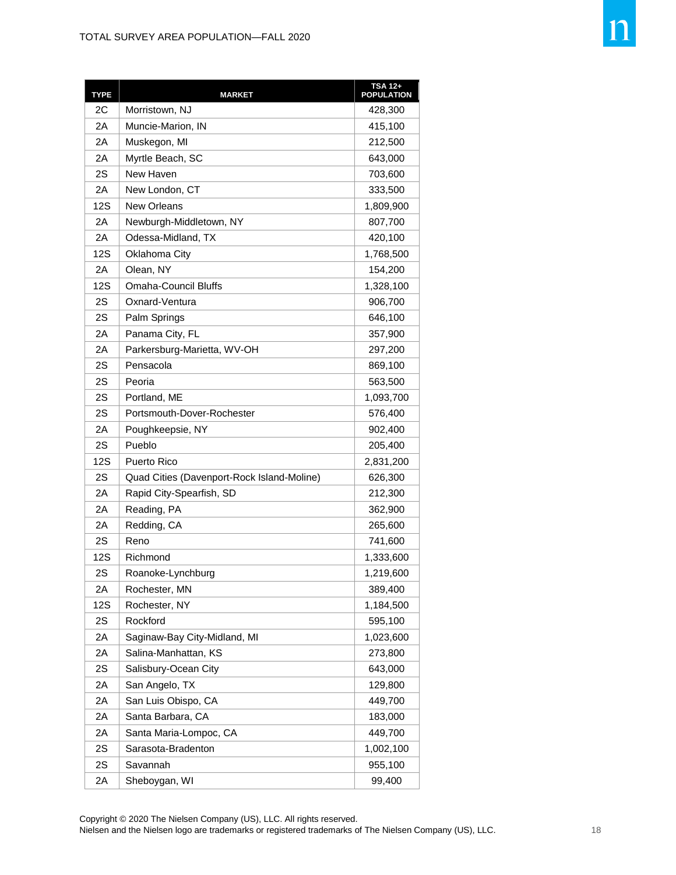| <b>TYPE</b> | <b>MARKET</b>                              | <b>TSA 12+</b><br><b>POPULATION</b> |
|-------------|--------------------------------------------|-------------------------------------|
| 2C          | Morristown, NJ                             | 428,300                             |
| 2Α          | Muncie-Marion, IN                          | 415,100                             |
| 2Α          | Muskegon, MI                               | 212,500                             |
| 2Α          | Myrtle Beach, SC                           | 643,000                             |
| 2S          | New Haven                                  | 703,600                             |
| 2A          | New London, CT                             | 333,500                             |
| 12S         | <b>New Orleans</b>                         | 1,809,900                           |
| 2Α          | Newburgh-Middletown, NY                    | 807,700                             |
| 2Α          | Odessa-Midland, TX                         | 420,100                             |
| 12S         | Oklahoma City                              | 1,768,500                           |
| 2Α          | Olean, NY                                  | 154,200                             |
| 12S         | <b>Omaha-Council Bluffs</b>                | 1,328,100                           |
| 2S          | Oxnard-Ventura                             | 906,700                             |
| 2S          | Palm Springs                               | 646,100                             |
| 2Α          | Panama City, FL                            | 357,900                             |
| 2Α          | Parkersburg-Marietta, WV-OH                | 297,200                             |
| 2S          | Pensacola                                  | 869,100                             |
| 2S          | Peoria                                     | 563,500                             |
| 2S          | Portland, ME                               | 1,093,700                           |
| 2S          | Portsmouth-Dover-Rochester                 | 576,400                             |
| 2Α          | Poughkeepsie, NY                           | 902,400                             |
| 2S          | Pueblo                                     | 205,400                             |
| 12S         | <b>Puerto Rico</b>                         | 2,831,200                           |
| 2S          | Quad Cities (Davenport-Rock Island-Moline) | 626,300                             |
| 2Α          | Rapid City-Spearfish, SD                   | 212,300                             |
| 2Α          | Reading, PA                                | 362,900                             |
| 2Α          | Redding, CA                                | 265,600                             |
| 2S          | Reno                                       | 741,600                             |
| <b>12S</b>  | Richmond                                   | 1,333,600                           |
| 2S          | Roanoke-Lynchburg                          | 1,219,600                           |
| 2Α          | Rochester, MN                              | 389,400                             |
| 12S         | Rochester, NY                              | 1,184,500                           |
| 2S          | Rockford                                   | 595,100                             |
| 2A          | Saginaw-Bay City-Midland, MI               | 1,023,600                           |
| 2A          | Salina-Manhattan, KS                       | 273,800                             |
| 2S          | Salisbury-Ocean City                       | 643,000                             |
| 2A          | San Angelo, TX                             | 129,800                             |
| 2Α          | San Luis Obispo, CA                        | 449,700                             |
| 2Α          | Santa Barbara, CA                          | 183,000                             |
| 2Α          | Santa Maria-Lompoc, CA                     | 449,700                             |
| 2S          | Sarasota-Bradenton                         | 1,002,100                           |
| 2S          | Savannah                                   | 955,100                             |
| 2A          | Sheboygan, WI                              | 99,400                              |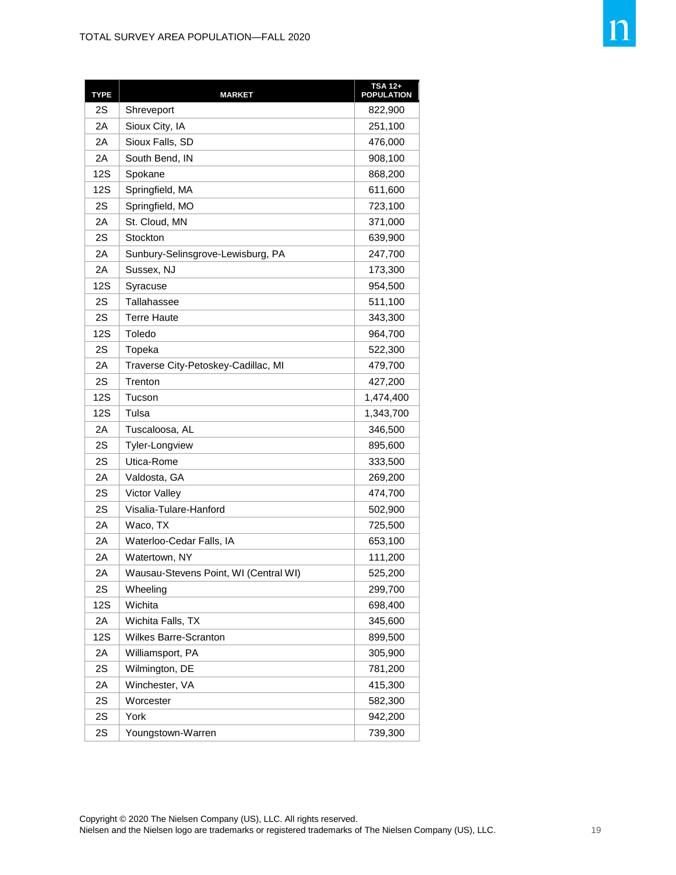| <b>TYPE</b> | <b>MARKET</b>                         | <b>TSA 12+</b><br>POPULATION |
|-------------|---------------------------------------|------------------------------|
| 2S          | Shreveport                            | 822,900                      |
| 2Α          | Sioux City, IA                        | 251,100                      |
| 2Α          | Sioux Falls, SD                       | 476,000                      |
| 2A          | South Bend, IN                        | 908,100                      |
| <b>12S</b>  | Spokane                               | 868,200                      |
| 12S         | Springfield, MA                       | 611,600                      |
| 2S          | Springfield, MO                       | 723,100                      |
| 2Α          | St. Cloud, MN                         | 371,000                      |
| 2S          | Stockton                              | 639,900                      |
| 2Α          | Sunbury-Selinsgrove-Lewisburg, PA     | 247,700                      |
| 2Α          | Sussex, NJ                            | 173,300                      |
| 12S         | Syracuse                              | 954,500                      |
| 2S          | Tallahassee                           | 511,100                      |
| 2S          | Terre Haute                           | 343,300                      |
| 12S         | Toledo                                | 964,700                      |
| 2S          | Topeka                                | 522,300                      |
| 2Α          | Traverse City-Petoskey-Cadillac, MI   | 479,700                      |
| 2S          | Trenton                               | 427,200                      |
| 12S         | Tucson                                | 1,474,400                    |
| 12S         | Tulsa                                 | 1,343,700                    |
| 2Α          | Tuscaloosa, AL                        | 346,500                      |
| 2S          | <b>Tyler-Longview</b>                 | 895,600                      |
| 2S          | Utica-Rome                            | 333,500                      |
| 2Α          | Valdosta, GA                          | 269,200                      |
| 2S          | <b>Victor Valley</b>                  | 474,700                      |
| 2S          | Visalia-Tulare-Hanford                | 502,900                      |
| 2Α          | Waco, TX                              | 725,500                      |
| 2A          | Waterloo-Cedar Falls, IA              | 653,100                      |
| 2Α          | Watertown, NY                         | 111,200                      |
| 2A          | Wausau-Stevens Point, WI (Central WI) | 525,200                      |
| 2S          | Wheeling                              | 299,700                      |
| 12S         | Wichita                               | 698,400                      |
| 2A          | Wichita Falls, TX                     | 345,600                      |
| 12S         | <b>Wilkes Barre-Scranton</b>          | 899,500                      |
| 2A          | Williamsport, PA                      | 305,900                      |
| 2S          | Wilmington, DE                        | 781,200                      |
| 2A          | Winchester, VA                        | 415,300                      |
| 2S          | Worcester                             | 582,300                      |
| 2S          | York                                  | 942,200                      |
| 2S          | Youngstown-Warren                     | 739,300                      |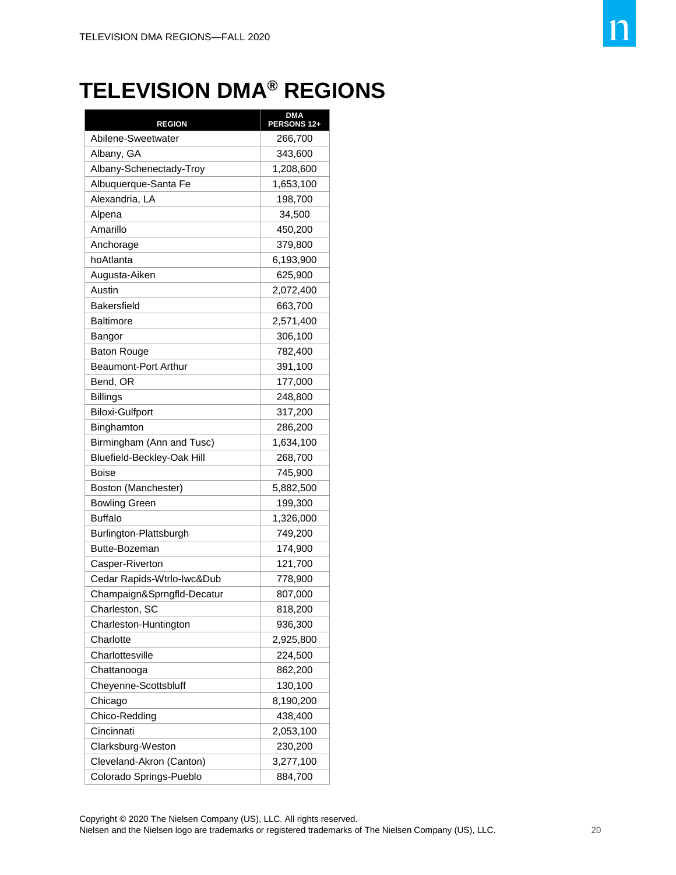## **TELEVISION DMA® REGIONS**

| <b>REGION</b>              | <b>DMA</b><br>PERSONS 12+ |
|----------------------------|---------------------------|
| Abilene-Sweetwater         | 266,700                   |
| Albany, GA                 | 343,600                   |
| Albany-Schenectady-Troy    | 1,208,600                 |
| Albuquerque-Santa Fe       | 1,653,100                 |
| Alexandria, LA             | 198,700                   |
| Alpena                     | 34,500                    |
| Amarillo                   | 450,200                   |
| Anchorage                  | 379,800                   |
| hoAtlanta                  | 6,193,900                 |
| Augusta-Aiken              | 625,900                   |
| Austin                     | 2,072,400                 |
| <b>Bakersfield</b>         | 663,700                   |
| <b>Baltimore</b>           | 2,571,400                 |
| Bangor                     | 306,100                   |
| Baton Rouge                | 782,400                   |
| Beaumont-Port Arthur       | 391,100                   |
| Bend, OR                   | 177,000                   |
| <b>Billings</b>            | 248,800                   |
| <b>Biloxi-Gulfport</b>     | 317,200                   |
| Binghamton                 | 286,200                   |
| Birmingham (Ann and Tusc)  | 1,634,100                 |
| Bluefield-Beckley-Oak Hill | 268,700                   |
| Boise                      | 745,900                   |
| Boston (Manchester)        | 5,882,500                 |
| <b>Bowling Green</b>       | 199,300                   |
| <b>Buffalo</b>             | 1,326,000                 |
| Burlington-Plattsburgh     | 749,200                   |
| Butte-Bozeman              | 174,900                   |
| Casper-Riverton            | 121,700                   |
| Cedar Rapids-Wtrlo-Iwc&Dub | 778,900                   |
| Champaign&Sprngfld-Decatur | 807,000                   |
| Charleston, SC             | 818,200                   |
| Charleston-Huntington      | 936,300                   |
| Charlotte                  | 2,925,800                 |
| Charlottesville            | 224,500                   |
| Chattanooga                | 862,200                   |
| Cheyenne-Scottsbluff       | 130,100                   |
| Chicago                    | 8,190,200                 |
| Chico-Redding              | 438,400                   |
| Cincinnati                 | 2,053,100                 |
| Clarksburg-Weston          | 230,200                   |
| Cleveland-Akron (Canton)   | 3,277,100                 |
| Colorado Springs-Pueblo    | 884,700                   |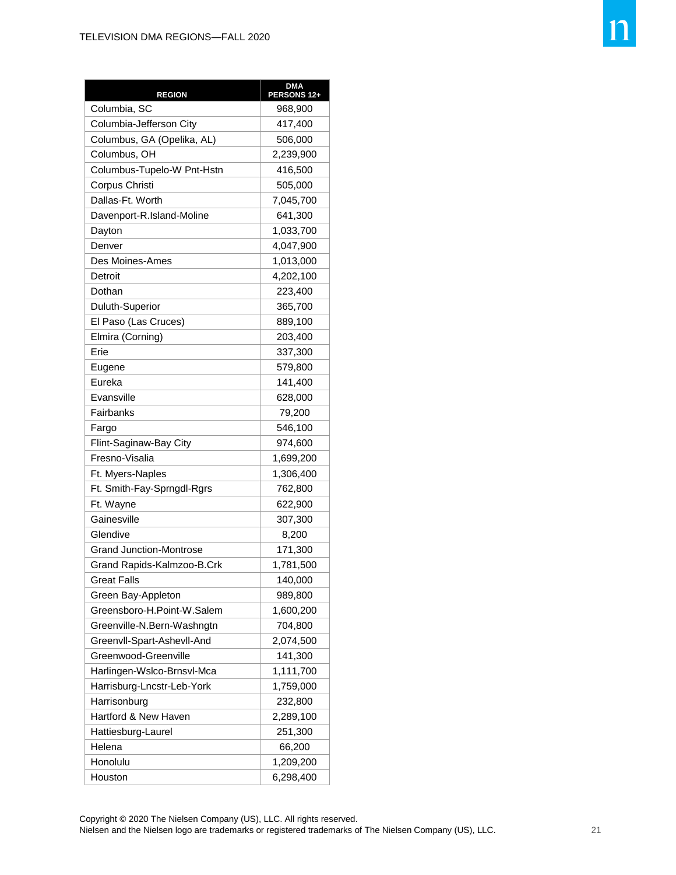| <b>REGION</b>              | <b>DMA</b><br>PERSONS 12+ |
|----------------------------|---------------------------|
| Columbia, SC               | 968,900                   |
| Columbia-Jefferson City    | 417,400                   |
| Columbus, GA (Opelika, AL) | 506,000                   |
| Columbus, OH               | 2,239,900                 |
| Columbus-Tupelo-W Pnt-Hstn | 416,500                   |
| Corpus Christi             | 505,000                   |
| Dallas-Ft. Worth           | 7,045,700                 |
| Davenport-R.Island-Moline  | 641,300                   |
| Dayton                     | 1,033,700                 |
| Denver                     | 4,047,900                 |
| Des Moines-Ames            | 1,013,000                 |
| Detroit                    | 4,202,100                 |
| Dothan                     | 223,400                   |
| Duluth-Superior            | 365,700                   |
| El Paso (Las Cruces)       | 889,100                   |
| Elmira (Corning)           | 203,400                   |
| Erie                       | 337,300                   |
| Eugene                     | 579,800                   |
| Eureka                     | 141,400                   |
| Evansville                 | 628,000                   |
| Fairbanks                  | 79,200                    |
| Fargo                      | 546,100                   |
| Flint-Saginaw-Bay City     | 974,600                   |
| Fresno-Visalia             | 1,699,200                 |
| Ft. Myers-Naples           | 1,306,400                 |
| Ft. Smith-Fay-Sprngdl-Rgrs | 762,800                   |
| Ft. Wayne                  | 622,900                   |
| Gainesville                | 307,300                   |
| Glendive                   | 8,200                     |
| Grand Junction-Montrose    | 171,300                   |
| Grand Rapids-Kalmzoo-B.Crk | 1,781,500                 |
| <b>Great Falls</b>         | 140,000                   |
| Green Bay-Appleton         | 989,800                   |
| Greensboro-H.Point-W.Salem | 1,600,200                 |
| Greenville-N.Bern-Washngtn | 704,800                   |
| Greenvll-Spart-Ashevll-And | 2,074,500                 |
| Greenwood-Greenville       | 141,300                   |
| Harlingen-Wslco-Brnsvl-Mca | 1,111,700                 |
| Harrisburg-Lncstr-Leb-York | 1,759,000                 |
| Harrisonburg               | 232,800                   |
| Hartford & New Haven       | 2,289,100                 |
| Hattiesburg-Laurel         | 251,300                   |
| Helena                     | 66,200                    |
| Honolulu                   | 1,209,200                 |
| Houston                    | 6,298,400                 |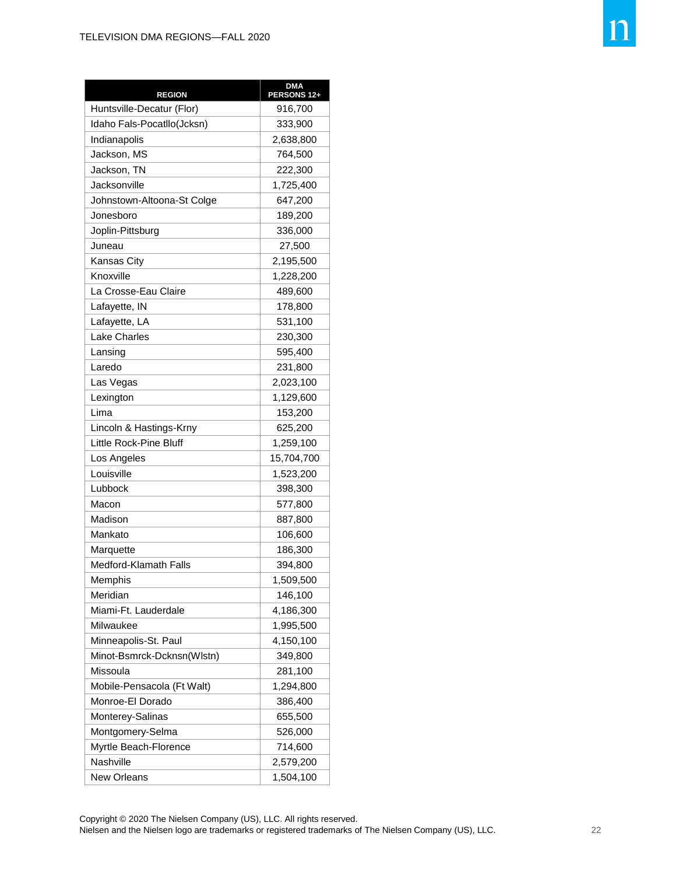| <b>REGION</b>              | <b>DMA</b><br>PERSONS 12+ |
|----------------------------|---------------------------|
| Huntsville-Decatur (Flor)  | 916,700                   |
| Idaho Fals-Pocatllo(Jcksn) | 333,900                   |
| Indianapolis               | 2,638,800                 |
| Jackson, MS                | 764,500                   |
| Jackson, TN                | 222,300                   |
| Jacksonville               | 1,725,400                 |
| Johnstown-Altoona-St Colge | 647,200                   |
| Jonesboro                  | 189,200                   |
| Joplin-Pittsburg           | 336,000                   |
| Juneau                     | 27,500                    |
| Kansas City                | 2,195,500                 |
| Knoxville                  | 1,228,200                 |
| La Crosse-Eau Claire       | 489,600                   |
| Lafayette, IN              | 178,800                   |
| Lafayette, LA              | 531,100                   |
| <b>Lake Charles</b>        | 230,300                   |
| Lansing                    | 595,400                   |
| Laredo                     | 231,800                   |
| Las Vegas                  | 2,023,100                 |
| Lexington                  | 1,129,600                 |
| Lima                       | 153,200                   |
| Lincoln & Hastings-Krny    | 625,200                   |
| Little Rock-Pine Bluff     | 1,259,100                 |
| Los Angeles                | 15,704,700                |
| Louisville                 | 1,523,200                 |
| Lubbock                    | 398,300                   |
| Macon                      | 577,800                   |
| Madison                    | 887,800                   |
| Mankato                    | 106,600                   |
| Marquette                  | 186,300                   |
| Medford-Klamath Falls      | 394,800                   |
| Memphis                    | 1,509,500                 |
| Meridian                   | 146,100                   |
| Miami-Ft. Lauderdale       | 4,186,300                 |
| Milwaukee                  | 1,995,500                 |
| Minneapolis-St. Paul       | 4,150,100                 |
| Minot-Bsmrck-Dcknsn(Wlstn) | 349,800                   |
| Missoula                   | 281,100                   |
| Mobile-Pensacola (Ft Walt) | 1,294,800                 |
| Monroe-El Dorado           | 386,400                   |
| Monterey-Salinas           | 655,500                   |
| Montgomery-Selma           | 526,000                   |
| Myrtle Beach-Florence      | 714,600                   |
| Nashville                  | 2,579,200                 |
| <b>New Orleans</b>         | 1,504,100                 |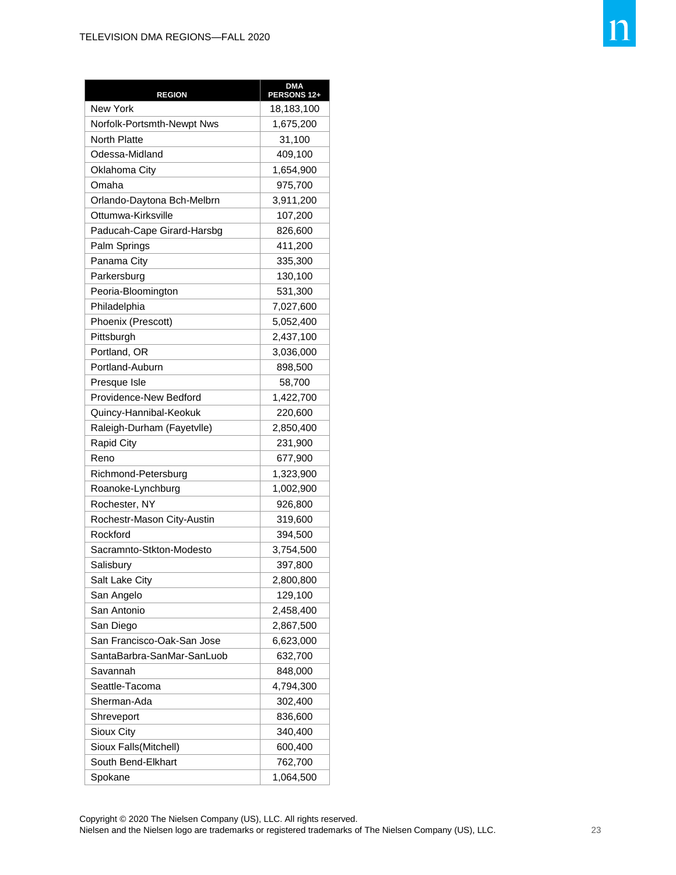| <b>REGION</b>              | <b>DMA</b><br>PERSONS 12+ |
|----------------------------|---------------------------|
| <b>New York</b>            | 18,183,100                |
| Norfolk-Portsmth-Newpt Nws | 1,675,200                 |
| <b>North Platte</b>        | 31,100                    |
| Odessa-Midland             | 409,100                   |
| Oklahoma City              | 1,654,900                 |
| Omaha                      | 975,700                   |
| Orlando-Daytona Bch-Melbrn | 3,911,200                 |
| Ottumwa-Kirksville         | 107,200                   |
| Paducah-Cape Girard-Harsbg | 826,600                   |
| Palm Springs               | 411,200                   |
| Panama City                | 335,300                   |
| Parkersburg                | 130,100                   |
| Peoria-Bloomington         | 531,300                   |
| Philadelphia               | 7,027,600                 |
| Phoenix (Prescott)         | 5,052,400                 |
| Pittsburgh                 | 2,437,100                 |
| Portland, OR               | 3,036,000                 |
| Portland-Auburn            | 898,500                   |
| Presque Isle               | 58,700                    |
| Providence-New Bedford     | 1,422,700                 |
| Quincy-Hannibal-Keokuk     | 220,600                   |
| Raleigh-Durham (Fayetvlle) | 2,850,400                 |
| <b>Rapid City</b>          | 231,900                   |
| Reno                       | 677,900                   |
| Richmond-Petersburg        | 1,323,900                 |
| Roanoke-Lynchburg          | 1,002,900                 |
| Rochester, NY              | 926,800                   |
| Rochestr-Mason City-Austin | 319,600                   |
| Rockford                   | 394,500                   |
| Sacramnto-Stkton-Modesto   | 3,754,500                 |
| Salisbury                  | 397,800                   |
| Salt Lake City             | 2,800,800                 |
| San Angelo                 | 129,100                   |
| San Antonio                | 2,458,400                 |
| San Diego                  | 2,867,500                 |
| San Francisco-Oak-San Jose | 6,623,000                 |
| SantaBarbra-SanMar-SanLuob | 632,700                   |
| Savannah                   | 848,000                   |
| Seattle-Tacoma             | 4,794,300                 |
| Sherman-Ada                | 302,400                   |
| Shreveport                 | 836,600                   |
| Sioux City                 | 340,400                   |
| Sioux Falls(Mitchell)      | 600,400                   |
| South Bend-Elkhart         | 762,700                   |
| Spokane                    | 1,064,500                 |